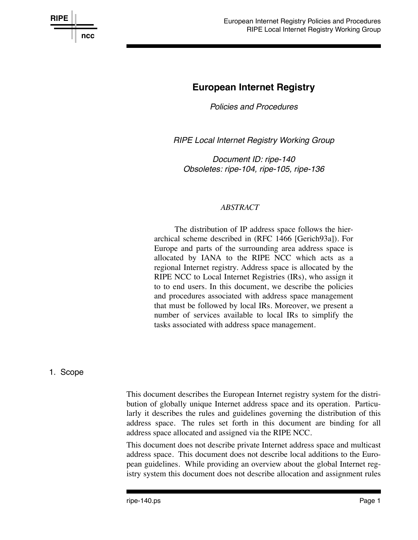

# **European Internet Registry**

*Policies and Procedures*

**RIPE Local Internet Registry Working Group** 

*Document ID: ripe-140 Obsoletes: ripe-104, ripe-105, ripe-136*

#### *ABSTRACT*

The distribution of IP address space follows the hierarchical scheme described in (RFC 1466 [Gerich93a]). For Europe and parts of the surrounding area address space is allocated by IANA to the RIPE NCC which acts as a regional Internet registry. Address space is allocated by the RIPE NCC to Local Internet Registries (IRs), who assign it to to end users. In this document, we describe the policies and procedures associated with address space management that must be followed by local IRs. Moreover, we present a number of services available to local IRs to simplify the tasks associated with address space management.

#### 1. Scope

This document describes the European Internet registry system for the distribution of globally unique Internet address space and its operation. Particularly it describes the rules and guidelines governing the distribution of this address space. The rules set forth in this document are binding for all address space allocated and assigned via the RIPE NCC.

This document does not describe private Internet address space and multicast address space. This document does not describe local additions to the European guidelines. While providing an overview about the global Internet registry system this document does not describe allocation and assignment rules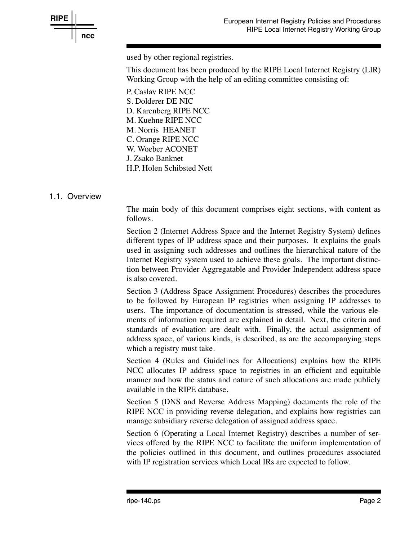

used by other regional registries.

This document has been produced by the RIPE Local Internet Registry (LIR) Working Group with the help of an editing committee consisting of:

P. Caslav RIPE NCC S. Dolderer DE NIC D. Karenberg RIPE NCC M. Kuehne RIPE NCC M. Norris HEANET C. Orange RIPE NCC W. Woeber ACONET J. Zsako Banknet H.P. Holen Schibsted Nett

### 1.1. Over view

The main body of this document comprises eight sections, with content as follows.

Section 2 (Internet Address Space and the Internet Registry System) defines different types of IP address space and their purposes. It explains the goals used in assigning such addresses and outlines the hierarchical nature of the Internet Registry system used to achieve these goals. The important distinction between Provider Aggregatable and Provider Independent address space is also covered.

Section 3 (Address Space Assignment Procedures) describes the procedures to be followed by European IP registries when assigning IP addresses to users. The importance of documentation is stressed, while the various elements of information required are explained in detail. Next, the criteria and standards of evaluation are dealt with. Finally, the actual assignment of address space, of various kinds, is described, as are the accompanying steps which a registry must take.

Section 4 (Rules and Guidelines for Allocations) explains how the RIPE NCC allocates IP address space to registries in an efficient and equitable manner and how the status and nature of such allocations are made publicly available in the RIPE database.

Section 5 (DNS and Reverse Address Mapping) documents the role of the RIPE NCC in providing reverse delegation, and explains how registries can manage subsidiary reverse delegation of assigned address space.

Section 6 (Operating a Local Internet Registry) describes a number of services offered by the RIPE NCC to facilitate the uniform implementation of the policies outlined in this document, and outlines procedures associated with IP registration services which Local IRs are expected to follow.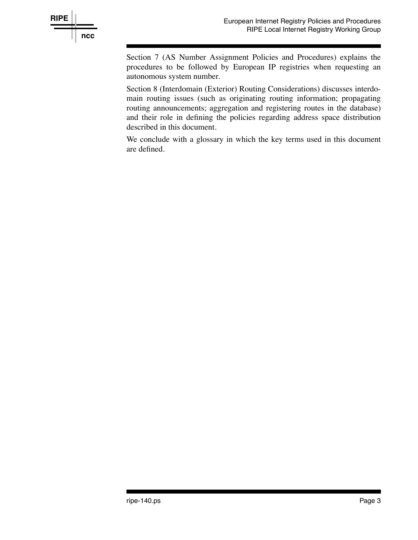

Section 7 (AS Number Assignment Policies and Procedures) explains the procedures to be followed by European IP registries when requesting an autonomous system number.

Section 8 (Interdomain (Exterior) Routing Considerations) discusses interdomain routing issues (such as originating routing information; propagating routing announcements; aggregation and registering routes in the database) and their role in defining the policies regarding address space distribution described in this document.

We conclude with a glossary in which the key terms used in this document are defined.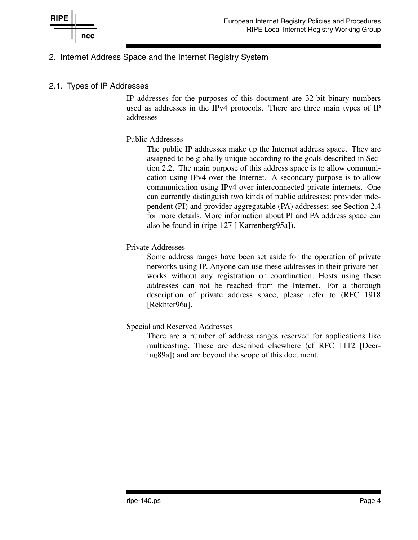

### 2. Internet Address Space and the Internet Registry System

### 2.1. Types of IP Addresses

IP addresses for the purposes of this document are 32-bit binary numbers used as addresses in the IPv4 protocols. There are three main types of IP addresses

#### Public Addresses

The public IP addresses make up the Internet address space. They are assigned to be globally unique according to the goals described in Section 2.2. The main purpose of this address space is to allow communication using IPv4 over the Internet. A secondary purpose is to allow communication using IPv4 over interconnected private internets. One can currently distinguish two kinds of public addresses: provider independent (PI) and provider aggregatable (PA) addresses; see Section 2.4 for more details. More information about PI and PA address space can also be found in (ripe-127 [ Karrenberg95a]).

#### Private Addresses

Some address ranges have been set aside for the operation of private networks using IP. Anyone can use these addresses in their private networks without any registration or coordination. Hosts using these addresses can not be reached from the Internet. For a thorough description of private address space, please refer to (RFC 1918 [Rekhter96a].

#### Special and Reserved Addresses

There are a number of address ranges reserved for applications like multicasting. These are described elsewhere (cf RFC 1112 [Deering89a]) and are beyond the scope of this document.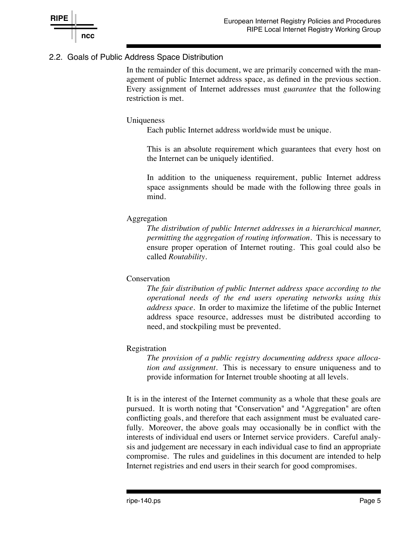

## 2.2. Goals of Public Address Space Distribution

In the remainder of this document, we are primarily concerned with the management of public Internet address space, as defined in the previous section. Every assignment of Internet addresses must *guarantee* that the following restriction is met.

#### Uniqueness

Each public Internet address worldwide must be unique.

This is an absolute requirement which guarantees that every host on the Internet can be uniquely identified.

In addition to the uniqueness requirement, public Internet address space assignments should be made with the following three goals in mind.

#### Aggregation

*The distribution of public Internet addresses in a hierarchical manner, permitting the aggregation of routing information.* This is necessary to ensure proper operation of Internet routing. This goal could also be called *Routability*.

#### **Conservation**

*The fair distribution of public Internet address space according to the operational needs of the end users operating networks using this address space.* In order to maximize the lifetime of the public Internet address space resource, addresses must be distributed according to need, and stockpiling must be prevented.

#### Registration

*The provision of a public registry documenting address space allocation and assignment.* This is necessary to ensure uniqueness and to provide information for Internet trouble shooting at all levels.

It is in the interest of the Internet community as a whole that these goals are pursued. It is worth noting that "Conservation" and "Aggregation" are often conflicting goals, and therefore that each assignment must be evaluated carefully. Moreover, the above goals may occasionally be in conflict with the interests of individual end users or Internet service providers. Careful analysis and judgement are necessary in each individual case to find an appropriate compromise. The rules and guidelines in this document are intended to help Internet registries and end users in their search for good compromises.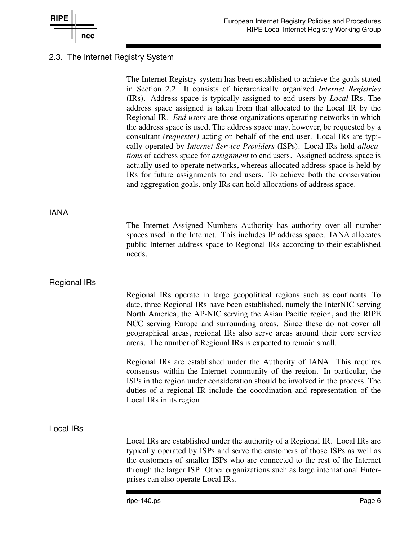

### 2.3. The Internet Registry System

The Internet Registry system has been established to achieve the goals stated in Section 2.2. It consists of hierarchically organized *Internet Registries* (IRs). Address space is typically assigned to end users by *Local* IRs. The address space assigned is taken from that allocated to the Local IR by the Regional IR. *End users* are those organizations operating networks in which the address space is used. The address space may, however, be requested by a consultant *(requester)* acting on behalf of the end user. Local IRs are typically operated by *Internet Service Providers* (ISPs). Local IRs hold *allocations* of address space for *assignment* to end users. Assigned address space is actually used to operate networks, whereas allocated address space is held by IRs for future assignments to end users. To achieve both the conservation and aggregation goals, only IRs can hold allocations of address space. IANA The Internet Assigned Numbers Authority has authority over all number spaces used in the Internet. This includes IP address space. IANA allocates public Internet address space to Regional IRs according to their established needs. Regional IRs Regional IRs operate in large geopolitical regions such as continents. To date, three Regional IRs have been established, namely the InterNIC serving North America, the AP-NIC serving the Asian Pacific region, and the RIPE NCC serving Europe and surrounding areas. Since these do not cover all geographical areas, regional IRs also serve areas around their core service areas. The number of Regional IRs is expected to remain small. Regional IRs are established under the Authority of IANA. This requires consensus within the Internet community of the region. In particular, the ISPs in the region under consideration should be involved in the process. The duties of a regional IR include the coordination and representation of the Local IRs in its region. Local IRs Local IRs are established under the authority of a Regional IR. Local IRs are typically operated by ISPs and serve the customers of those ISPs as well as the customers of smaller ISPs who are connected to the rest of the Internet through the larger ISP. Other organizations such as large international Enterprises can also operate Local IRs.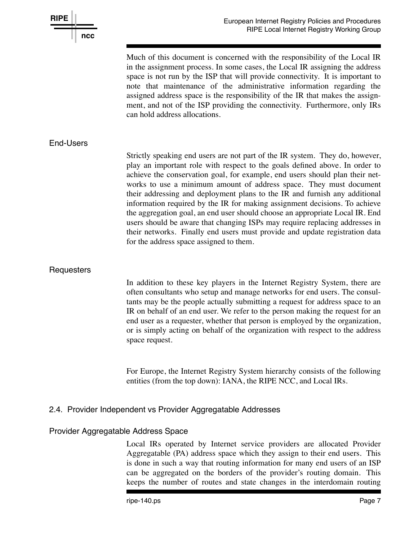

Much of this document is concerned with the responsibility of the Local IR in the assignment process. In some cases, the Local IR assigning the address space is not run by the ISP that will provide connectivity. It is important to note that maintenance of the administrative information regarding the assigned address space is the responsibility of the IR that makes the assignment, and not of the ISP providing the connectivity. Furthermore, only IRs can hold address allocations.

#### End-Users

Strictly speaking end users are not part of the IR system. They do, however, play an important role with respect to the goals defined above. In order to achieve the conservation goal, for example, end users should plan their networks to use a minimum amount of address space. They must document their addressing and deployment plans to the IR and furnish any additional information required by the IR for making assignment decisions. To achieve the aggregation goal, an end user should choose an appropriate Local IR. End users should be aware that changing ISPs may require replacing addresses in their networks. Finally end users must provide and update registration data for the address space assigned to them.

#### **Requesters**

In addition to these key players in the Internet Registry System, there are often consultants who setup and manage networks for end users. The consultants may be the people actually submitting a request for address space to an IR on behalf of an end user. We refer to the person making the request for an end user as a requester, whether that person is employed by the organization, or is simply acting on behalf of the organization with respect to the address space request.

For Europe, the Internet Registry System hierarchy consists of the following entities (from the top down): IANA, the RIPE NCC, and Local IRs.

#### 2.4. Provider Independent vs Provider Aggregatable Addresses

#### Provider Aggregatable Address Space

Local IRs operated by Internet service providers are allocated Provider Aggregatable (PA) address space which they assign to their end users. This is done in such a way that routing information for many end users of an ISP can be aggregated on the borders of the provider's routing domain. This keeps the number of routes and state changes in the interdomain routing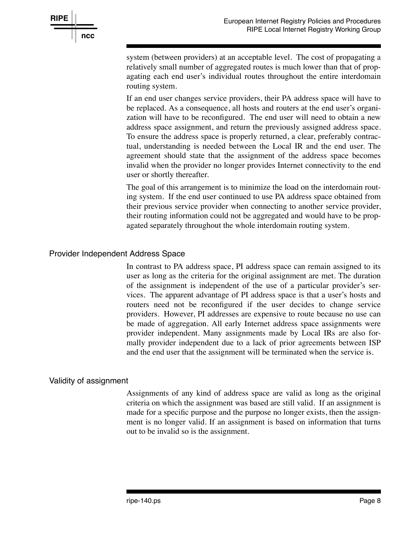

system (between providers) at an acceptable level. The cost of propagating a relatively small number of aggregated routes is much lower than that of propagating each end user's individual routes throughout the entire interdomain routing system.

If an end user changes service providers, their PA address space will have to be replaced. As a consequence, all hosts and routers at the end user's organization will have to be reconfigured. The end user will need to obtain a new address space assignment, and return the previously assigned address space. To ensure the address space is properly returned, a clear, preferably contractual, understanding is needed between the Local IR and the end user. The agreement should state that the assignment of the address space becomes invalid when the provider no longer provides Internet connectivity to the end user or shortly thereafter.

The goal of this arrangement is to minimize the load on the interdomain routing system. If the end user continued to use PA address space obtained from their previous service provider when connecting to another service provider, their routing information could not be aggregated and would have to be propagated separately throughout the whole interdomain routing system.

#### Provider Independent Address Space

In contrast to PA address space, PI address space can remain assigned to its user as long as the criteria for the original assignment are met. The duration of the assignment is independent of the use of a particular provider's services. The apparent advantage of PI address space is that a user's hosts and routers need not be reconfigured if the user decides to change service providers. However, PI addresses are expensive to route because no use can be made of aggregation. All early Internet address space assignments were provider independent. Many assignments made by Local IRs are also formally provider independent due to a lack of prior agreements between ISP and the end user that the assignment will be terminated when the service is.

#### Validity of assignment

Assignments of any kind of address space are valid as long as the original criteria on which the assignment was based are still valid. If an assignment is made for a specific purpose and the purpose no longer exists, then the assignment is no longer valid. If an assignment is based on information that turns out to be invalid so is the assignment.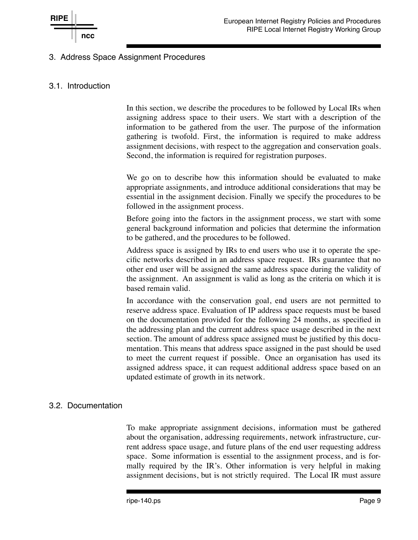### 3. Address Space Assignment Procedures

### 3.1. Introduction

In this section, we describe the procedures to be followed by Local IRs when assigning address space to their users. We start with a description of the information to be gathered from the user. The purpose of the information gathering is twofold. First, the information is required to make address assignment decisions, with respect to the aggregation and conservation goals. Second, the information is required for registration purposes.

We go on to describe how this information should be evaluated to make appropriate assignments, and introduce additional considerations that may be essential in the assignment decision. Finally we specify the procedures to be followed in the assignment process.

Before going into the factors in the assignment process, we start with some general background information and policies that determine the information to be gathered, and the procedures to be followed.

Address space is assigned by IRs to end users who use it to operate the specific networks described in an address space request. IRs guarantee that no other end user will be assigned the same address space during the validity of the assignment. An assignment is valid as long as the criteria on which it is based remain valid.

In accordance with the conservation goal, end users are not permitted to reserve address space. Evaluation of IP address space requests must be based on the documentation provided for the following 24 months, as specified in the addressing plan and the current address space usage described in the next section. The amount of address space assigned must be justified by this documentation. This means that address space assigned in the past should be used to meet the current request if possible. Once an organisation has used its assigned address space, it can request additional address space based on an updated estimate of growth in its network.

### 3.2. Documentation

To make appropriate assignment decisions, information must be gathered about the organisation, addressing requirements, network infrastructure, current address space usage, and future plans of the end user requesting address space. Some information is essential to the assignment process, and is formally required by the IR's. Other information is very helpful in making assignment decisions, but is not strictly required. The Local IR must assure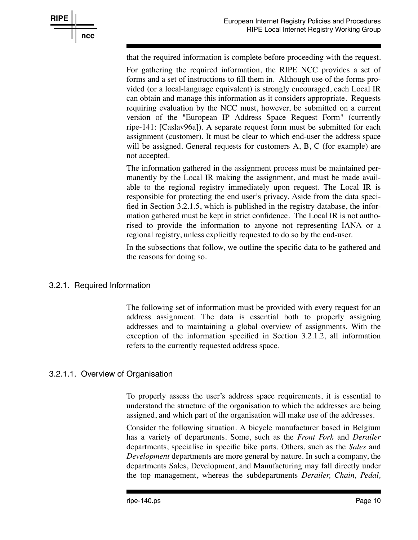

that the required information is complete before proceeding with the request.

For gathering the required information, the RIPE NCC provides a set of forms and a set of instructions to fill them in. Although use of the forms provided (or a local-language equivalent) is strongly encouraged, each Local IR can obtain and manage this information as it considers appropriate. Requests requiring evaluation by the NCC must, however, be submitted on a current version of the "European IP Address Space Request Form" (currently ripe-141: [Caslav96a]). A separate request form must be submitted for each assignment (customer). It must be clear to which end-user the address space will be assigned. General requests for customers A, B, C (for example) are not accepted.

The information gathered in the assignment process must be maintained permanently by the Local IR making the assignment, and must be made available to the regional registry immediately upon request. The Local IR is responsible for protecting the end user's privacy. Aside from the data specified in Section 3.2.1.5, which is published in the registry database, the information gathered must be kept in strict confidence. The Local IR is not authorised to provide the information to anyone not representing IANA or a regional registry, unless explicitly requested to do so by the end-user.

In the subsections that follow, we outline the specific data to be gathered and the reasons for doing so.

#### 3.2.1. Required Information

The following set of information must be provided with every request for an address assignment. The data is essential both to properly assigning addresses and to maintaining a global overview of assignments. With the exception of the information specified in Section 3.2.1.2, all information refers to the currently requested address space.

#### 3.2.1.1. Over view of Organisation

To properly assess the user's address space requirements, it is essential to understand the structure of the organisation to which the addresses are being assigned, and which part of the organisation will make use of the addresses.

Consider the following situation. A bicycle manufacturer based in Belgium has a variety of departments. Some, such as the *Front Fork* and *Derailer* departments, specialise in specific bike parts. Others, such as the *Sales* and *Development* departments are more general by nature. In such a company, the departments Sales, Development, and Manufacturing may fall directly under the top management, whereas the subdepartments *Derailer, Chain, Pedal,*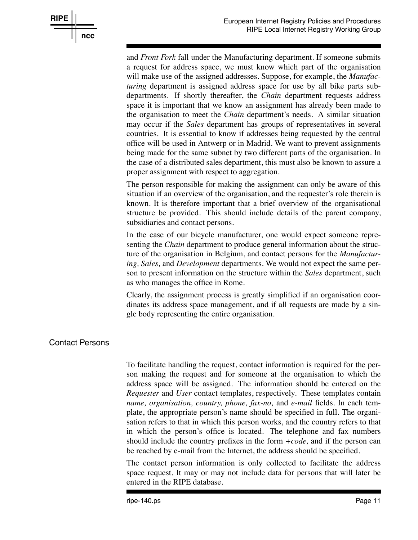

and *Front Fork* fall under the Manufacturing department. If someone submits a request for address space, we must know which part of the organisation will make use of the assigned addresses. Suppose, for example, the *Manufacturing* department is assigned address space for use by all bike parts subdepartments. If shortly thereafter, the *Chain* department requests address space it is important that we know an assignment has already been made to the organisation to meet the *Chain* department's needs. A similar situation may occur if the *Sales* department has groups of representatives in several countries. It is essential to know if addresses being requested by the central office will be used in Antwerp or in Madrid. We want to prevent assignments being made for the same subnet by two different parts of the organisation. In the case of a distributed sales department, this must also be known to assure a proper assignment with respect to aggregation.

The person responsible for making the assignment can only be aware of this situation if an overview of the organisation, and the requester's role therein is known. It is therefore important that a brief overview of the organisational structure be provided. This should include details of the parent company, subsidiaries and contact persons.

In the case of our bicycle manufacturer, one would expect someone representing the *Chain* department to produce general information about the structure of the organisation in Belgium, and contact persons for the *Manufacturing, Sales,* and *Development* departments. We would not expect the same person to present information on the structure within the *Sales* department, such as who manages the office in Rome.

Clearly, the assignment process is greatly simplified if an organisation coordinates its address space management, and if all requests are made by a single body representing the entire organisation.

### Contact Persons

To facilitate handling the request, contact information is required for the person making the request and for someone at the organisation to which the address space will be assigned. The information should be entered on the *Requester* and *User* contact templates, respectively. These templates contain *name, organisation, country, phone, fax-no,* and *e-mail* fields. In each template, the appropriate person's name should be specified in full. The organisation refers to that in which this person works, and the country refers to that in which the person's office is located. The telephone and fax numbers should include the country prefixes in the form *+code,* and if the person can be reached by e-mail from the Internet, the address should be specified.

The contact person information is only collected to facilitate the address space request. It may or may not include data for persons that will later be entered in the RIPE database.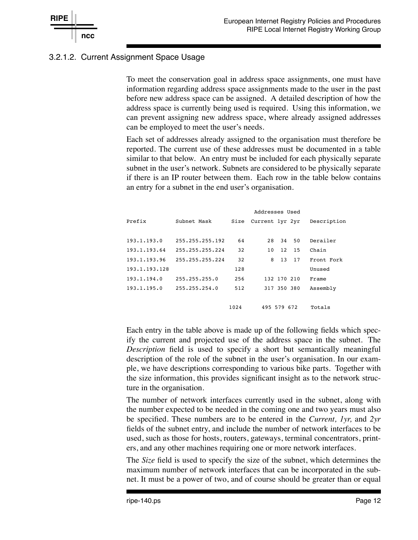

## 3.2.1.2. Current Assignment Space Usage

To meet the conservation goal in address space assignments, one must have information regarding address space assignments made to the user in the past before new address space can be assigned. A detailed description of how the address space is currently being used is required. Using this information, we can prevent assigning new address space, where already assigned addresses can be employed to meet the user's needs.

Each set of addresses already assigned to the organisation must therefore be reported. The current use of these addresses must be documented in a table similar to that below. An entry must be included for each physically separate subnet in the user's network. Subnets are considered to be physically separate if there is an IP router between them. Each row in the table below contains an entry for a subnet in the end user's organisation.

|               |                 | Addresses Used |                 |             |  |
|---------------|-----------------|----------------|-----------------|-------------|--|
| Prefix        | Subnet Mask     | Size           | Current 1yr 2yr | Description |  |
|               |                 |                |                 |             |  |
| 193.1.193.0   | 255.255.255.192 | 64             | 50<br>28<br>34  | Derailer    |  |
| 193.1.193.64  | 255.255.255.224 | 32             | 12<br>15<br>10  | Chain       |  |
| 193.1.193.96  | 255.255.255.224 | 32             | 8<br>13<br>17   | Front Fork  |  |
| 193.1.193.128 |                 | 128            |                 | Unused      |  |
| 193.1.194.0   | 255.255.255.0   | 256            | 132 170 210     | Frame       |  |
| 193.1.195.0   | 255.255.254.0   | 512            | 317 350 380     | Assembly    |  |
|               |                 |                |                 |             |  |
|               |                 | 1024           | 495 579 672     | Totals      |  |

Each entry in the table above is made up of the following fields which specify the current and projected use of the address space in the subnet. The *Description* field is used to specify a short but semantically meaningful description of the role of the subnet in the user's organisation. In our example, we have descriptions corresponding to various bike parts. Together with the size information, this provides significant insight as to the network structure in the organisation.

The number of network interfaces currently used in the subnet, along with the number expected to be needed in the coming one and two years must also be specified. These numbers are to be entered in the *Current, 1yr,* and *2yr* fields of the subnet entry, and include the number of network interfaces to be used, such as those for hosts, routers, gateways, terminal concentrators, printers, and any other machines requiring one or more network interfaces.

The *Size* field is used to specify the size of the subnet, which determines the maximum number of network interfaces that can be incorporated in the subnet. It must be a power of two, and of course should be greater than or equal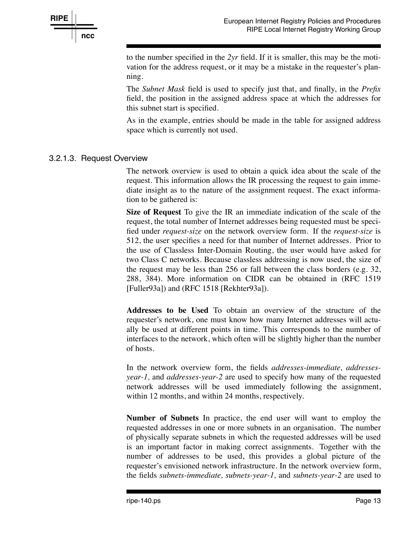

to the number specified in the *2yr* field. If it is smaller, this may be the motivation for the address request, or it may be a mistake in the requester's planning.

The *Subnet Mask* field is used to specify just that, and finally, in the *Prefix* field, the position in the assigned address space at which the addresses for this subnet start is specified.

As in the example, entries should be made in the table for assigned address space which is currently not used.

### 3.2.1.3. Request Over view

The network overview is used to obtain a quick idea about the scale of the request. This information allows the IR processing the request to gain immediate insight as to the nature of the assignment request. The exact information to be gathered is:

**Size of Request** To give the IR an immediate indication of the scale of the request, the total number of Internet addresses being requested must be specified under *request-size* on the network overview form. If the *request-size* is 512, the user specifies a need for that number of Internet addresses. Prior to the use of Classless Inter-Domain Routing, the user would have asked for two Class C networks. Because classless addressing is now used, the size of the request may be less than 256 or fall between the class borders (e.g. 32, 288, 384). More information on CIDR can be obtained in (RFC 1519 [Fuller93a]) and (RFC 1518 [Rekhter93a]).

**Addresses to be Used** To obtain an overview of the structure of the requester's network, one must know how many Internet addresses will actually be used at different points in time. This corresponds to the number of interfaces to the network, which often will be slightly higher than the number of hosts.

In the network overview form, the fields *addresses-immediate, addressesyear-1,* and *addresses-year-2* are used to specify how many of the requested network addresses will be used immediately following the assignment, within 12 months, and within 24 months, respectively.

**Number of Subnets** In practice, the end user will want to employ the requested addresses in one or more subnets in an organisation. The number of physically separate subnets in which the requested addresses will be used is an important factor in making correct assignments. Together with the number of addresses to be used, this provides a global picture of the requester's envisioned network infrastructure. In the network overview form, the fields *subnets-immediate, subnets-year-1,* and *subnets-year-2* are used to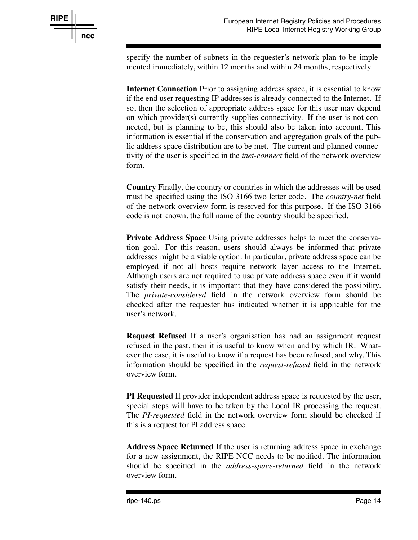specify the number of subnets in the requester's network plan to be implemented immediately, within 12 months and within 24 months, respectively.

**Internet Connection** Prior to assigning address space, it is essential to know if the end user requesting IP addresses is already connected to the Internet. If so, then the selection of appropriate address space for this user may depend on which provider(s) currently supplies connectivity. If the user is not connected, but is planning to be, this should also be taken into account. This information is essential if the conservation and aggregation goals of the public address space distribution are to be met. The current and planned connectivity of the user is specified in the *inet-connect* field of the network overview form.

**Country** Finally, the country or countries in which the addresses will be used must be specified using the ISO 3166 two letter code. The *country-net* field of the network overview form is reserved for this purpose. If the ISO 3166 code is not known, the full name of the country should be specified.

**Private Address Space** Using private addresses helps to meet the conservation goal. For this reason, users should always be informed that private addresses might be a viable option. In particular, private address space can be employed if not all hosts require network layer access to the Internet. Although users are not required to use private address space even if it would satisfy their needs, it is important that they have considered the possibility. The *private-considered* field in the network overview form should be checked after the requester has indicated whether it is applicable for the user's network.

**Request Refused** If a user's organisation has had an assignment request refused in the past, then it is useful to know when and by which IR. Whatever the case, it is useful to know if a request has been refused, and why. This information should be specified in the *request-refused* field in the network overview form.

**PI Requested** If provider independent address space is requested by the user, special steps will have to be taken by the Local IR processing the request. The *PI-requested* field in the network overview form should be checked if this is a request for PI address space.

**Address Space Returned** If the user is returning address space in exchange for a new assignment, the RIPE NCC needs to be notified. The information should be specified in the *address-space-returned* field in the network overview form.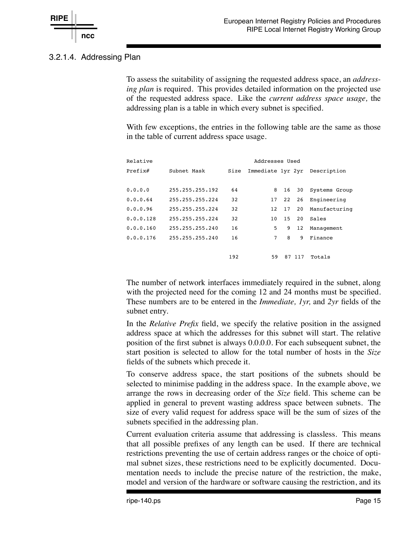

### 3.2.1.4. Addressing Plan

To assess the suitability of assigning the requested address space, an *addressing plan* is required. This provides detailed information on the projected use of the requested address space. Like the *current address space usage,* the addressing plan is a table in which every subnet is specified.

With few exceptions, the entries in the following table are the same as those in the table of current address space usage.

| Relative  |                 |      | Addresses Used    |    |     |               |
|-----------|-----------------|------|-------------------|----|-----|---------------|
| Prefix#   | Subnet Mask     | Size | Immediate 1yr 2yr |    |     | Description   |
|           |                 |      |                   |    |     |               |
| 0.0.0.0   | 255.255.255.192 | 64   | 8                 | 16 | 30  | Systems Group |
| 0.0.0.64  | 255.255.255.224 | 32   | 17                | 22 | 26  | Engineering   |
| 0.0.0.96  | 255.255.255.224 | 32   | 12                | 17 | 20  | Manufacturing |
| 0.0.0.128 | 255.255.255.224 | 32   | 1 O               | 15 | 20  | Sales         |
| 0.0.0.160 | 255.255.255.240 | 16   | 5                 | 9  | 12  | Management    |
| 0.0.0.176 | 255.255.255.240 | 16   | 7                 | 8  | 9   | Finance       |
|           |                 |      |                   |    |     |               |
|           |                 | 192  | 59                | 87 | 117 | Totals        |

The number of network interfaces immediately required in the subnet, along with the projected need for the coming 12 and 24 months must be specified. These numbers are to be entered in the *Immediate, 1yr,* and *2yr* fields of the subnet entry.

In the *Relative Prefix* field, we specify the relative position in the assigned address space at which the addresses for this subnet will start. The relative position of the first subnet is always 0.0.0.0. For each subsequent subnet, the start position is selected to allow for the total number of hosts in the *Size* fields of the subnets which precede it.

To conserve address space, the start positions of the subnets should be selected to minimise padding in the address space. In the example above, we arrange the rows in decreasing order of the *Size* field. This scheme can be applied in general to prevent wasting address space between subnets. The size of every valid request for address space will be the sum of sizes of the subnets specified in the addressing plan.

Current evaluation criteria assume that addressing is classless. This means that all possible prefixes of any length can be used. If there are technical restrictions preventing the use of certain address ranges or the choice of optimal subnet sizes, these restrictions need to be explicitly documented. Documentation needs to include the precise nature of the restriction, the make, model and version of the hardware or software causing the restriction, and its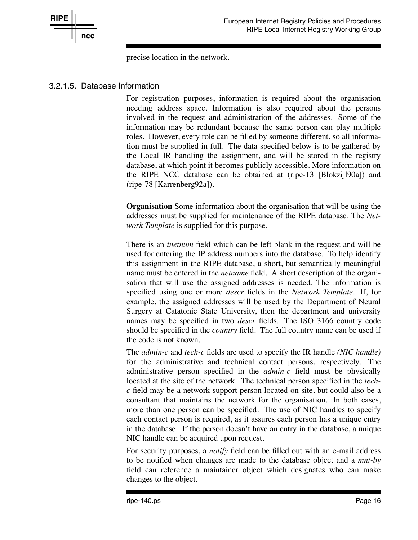

precise location in the network.

### 3.2.1.5. Database Information

For registration purposes, information is required about the organisation needing address space. Information is also required about the persons involved in the request and administration of the addresses. Some of the information may be redundant because the same person can play multiple roles. However, every role can be filled by someone different, so all information must be supplied in full. The data specified below is to be gathered by the Local IR handling the assignment, and will be stored in the registry database, at which point it becomes publicly accessible. More information on the RIPE NCC database can be obtained at (ripe-13 [Blokzijl90a]) and (ripe-78 [Karrenberg92a]).

**Organisation** Some information about the organisation that will be using the addresses must be supplied for maintenance of the RIPE database. The *Network Template* is supplied for this purpose.

There is an *inetnum* field which can be left blank in the request and will be used for entering the IP address numbers into the database. To help identify this assignment in the RIPE database, a short, but semantically meaningful name must be entered in the *netname* field. A short description of the organisation that will use the assigned addresses is needed. The information is specified using one or more *descr* fields in the *Network Template.* If, for example, the assigned addresses will be used by the Department of Neural Surgery at Catatonic State University, then the department and university names may be specified in two *descr* fields. The ISO 3166 country code should be specified in the *country* field. The full country name can be used if the code is not known.

The *admin-c* and *tech-c* fields are used to specify the IR handle *(NIC handle)* for the administrative and technical contact persons, respectively. The administrative person specified in the *admin-c* field must be physically located at the site of the network. The technical person specified in the *techc* field may be a network support person located on site, but could also be a consultant that maintains the network for the organisation. In both cases, more than one person can be specified. The use of NIC handles to specify each contact person is required, as it assures each person has a unique entry in the database. If the person doesn't have an entry in the database, a unique NIC handle can be acquired upon request.

For security purposes, a *notify* field can be filled out with an e-mail address to be notified when changes are made to the database object and a *mnt-by* field can reference a maintainer object which designates who can make changes to the object.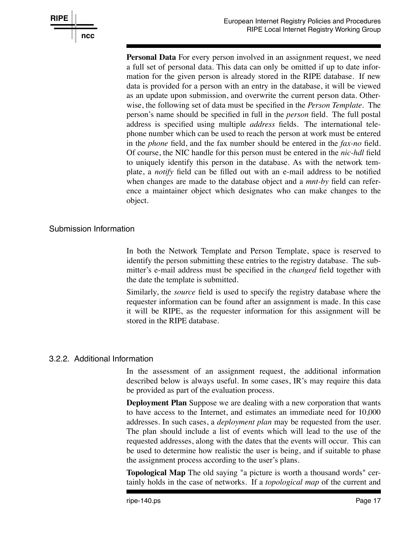

**Personal Data** For every person involved in an assignment request, we need a full set of personal data. This data can only be omitted if up to date information for the given person is already stored in the RIPE database. If new data is provided for a person with an entry in the database, it will be viewed as an update upon submission, and overwrite the current person data. Otherwise, the following set of data must be specified in the *Person Template.* The person's name should be specified in full in the *person* field. The full postal address is specified using multiple *address* fields. The international telephone number which can be used to reach the person at work must be entered in the *phone* field, and the fax number should be entered in the *fax-no* field. Of course, the NIC handle for this person must be entered in the *nic-hdl* field to uniquely identify this person in the database. As with the network template, a *notify* field can be filled out with an e-mail address to be notified when changes are made to the database object and a *mnt-by* field can reference a maintainer object which designates who can make changes to the object.

#### Submission Information

In both the Network Template and Person Template, space is reserved to identify the person submitting these entries to the registry database. The submitter's e-mail address must be specified in the *changed* field together with the date the template is submitted.

Similarly, the *source* field is used to specify the registry database where the requester information can be found after an assignment is made. In this case it will be RIPE, as the requester information for this assignment will be stored in the RIPE database.

#### 3.2.2. Additional Information

In the assessment of an assignment request, the additional information described below is always useful. In some cases, IR's may require this data be provided as part of the evaluation process.

**Deployment Plan** Suppose we are dealing with a new corporation that wants to have access to the Internet, and estimates an immediate need for 10,000 addresses. In such cases, a *deployment plan* may be requested from the user. The plan should include a list of events which will lead to the use of the requested addresses, along with the dates that the events will occur. This can be used to determine how realistic the user is being, and if suitable to phase the assignment process according to the user's plans.

**Topological Map** The old saying "a picture is worth a thousand words" certainly holds in the case of networks. If a *topological map* of the current and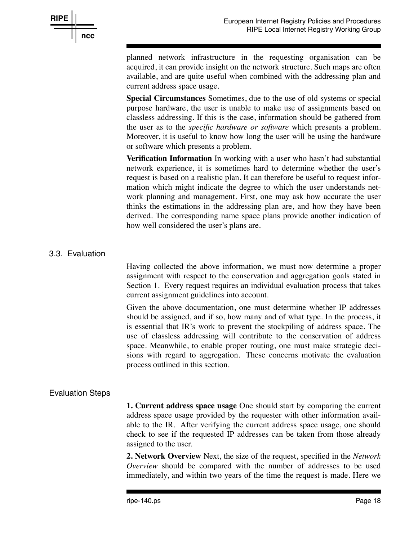

planned network infrastructure in the requesting organisation can be acquired, it can provide insight on the network structure. Such maps are often available, and are quite useful when combined with the addressing plan and current address space usage.

**Special Circumstances** Sometimes, due to the use of old systems or special purpose hardware, the user is unable to make use of assignments based on classless addressing. If this is the case, information should be gathered from the user as to the *specific hardware or software* which presents a problem. Moreover, it is useful to know how long the user will be using the hardware or software which presents a problem.

**Verification Information** In working with a user who hasn't had substantial network experience, it is sometimes hard to determine whether the user's request is based on a realistic plan. It can therefore be useful to request information which might indicate the degree to which the user understands network planning and management. First, one may ask how accurate the user thinks the estimations in the addressing plan are, and how they have been derived. The corresponding name space plans provide another indication of how well considered the user's plans are.

### 3.3. Evaluation

Having collected the above information, we must now determine a proper assignment with respect to the conservation and aggregation goals stated in Section 1. Every request requires an individual evaluation process that takes current assignment guidelines into account.

Given the above documentation, one must determine whether IP addresses should be assigned, and if so, how many and of what type. In the process, it is essential that IR's work to prevent the stockpiling of address space. The use of classless addressing will contribute to the conservation of address space. Meanwhile, to enable proper routing, one must make strategic decisions with regard to aggregation. These concerns motivate the evaluation process outlined in this section.

### Evaluation Steps

**1. Current address space usage** One should start by comparing the current address space usage provided by the requester with other information available to the IR. After verifying the current address space usage, one should check to see if the requested IP addresses can be taken from those already assigned to the user.

**2. Network Overview** Next, the size of the request, specified in the *Network Overview* should be compared with the number of addresses to be used immediately, and within two years of the time the request is made. Here we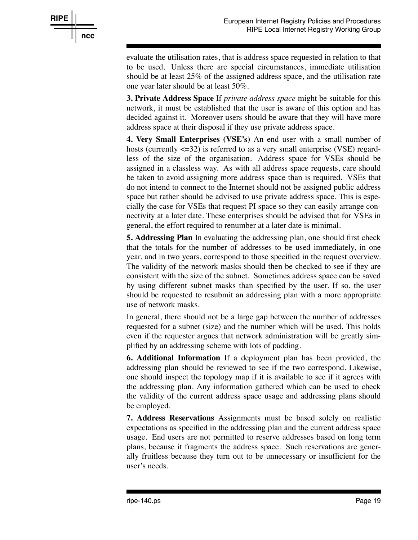

evaluate the utilisation rates, that is address space requested in relation to that to be used. Unless there are special circumstances, immediate utilisation should be at least 25% of the assigned address space, and the utilisation rate one year later should be at least 50%.

**3. Private Address Space** If *private address space* might be suitable for this network, it must be established that the user is aware of this option and has decided against it. Moreover users should be aware that they will have more address space at their disposal if they use private address space.

**4. Very Small Enterprises (VSE's)** An end user with a small number of hosts (currently  $\langle 32 \rangle$ ) is referred to as a very small enterprise (VSE) regardless of the size of the organisation. Address space for VSEs should be assigned in a classless way. As with all address space requests, care should be taken to avoid assigning more address space than is required. VSEs that do not intend to connect to the Internet should not be assigned public address space but rather should be advised to use private address space. This is especially the case for VSEs that request PI space so they can easily arrange connectivity at a later date. These enterprises should be advised that for VSEs in general, the effort required to renumber at a later date is minimal.

**5. Addressing Plan** In evaluating the addressing plan, one should first check that the totals for the number of addresses to be used immediately, in one year, and in two years, correspond to those specified in the request overview. The validity of the network masks should then be checked to see if they are consistent with the size of the subnet. Sometimes address space can be saved by using different subnet masks than specified by the user. If so, the user should be requested to resubmit an addressing plan with a more appropriate use of network masks.

In general, there should not be a large gap between the number of addresses requested for a subnet (size) and the number which will be used. This holds even if the requester argues that network administration will be greatly simplified by an addressing scheme with lots of padding.

**6. Additional Information** If a deployment plan has been provided, the addressing plan should be reviewed to see if the two correspond. Likewise, one should inspect the topology map if it is available to see if it agrees with the addressing plan. Any information gathered which can be used to check the validity of the current address space usage and addressing plans should be employed.

**7. Address Reservations** Assignments must be based solely on realistic expectations as specified in the addressing plan and the current address space usage. End users are not permitted to reserve addresses based on long term plans, because it fragments the address space. Such reservations are generally fruitless because they turn out to be unnecessary or insufficient for the user's needs.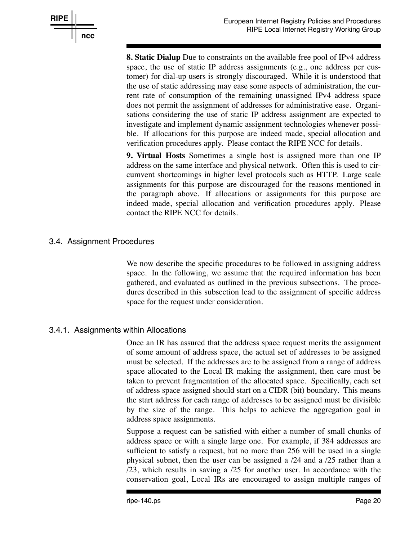

**8. Static Dialup** Due to constraints on the available free pool of IPv4 address space, the use of static IP address assignments (e.g., one address per customer) for dial-up users is strongly discouraged. While it is understood that the use of static addressing may ease some aspects of administration, the current rate of consumption of the remaining unassigned IPv4 address space does not permit the assignment of addresses for administrative ease. Organisations considering the use of static IP address assignment are expected to investigate and implement dynamic assignment technologies whenever possible. If allocations for this purpose are indeed made, special allocation and verification procedures apply. Please contact the RIPE NCC for details.

**9. Virtual Hosts** Sometimes a single host is assigned more than one IP address on the same interface and physical network. Often this is used to circumvent shortcomings in higher level protocols such as HTTP. Large scale assignments for this purpose are discouraged for the reasons mentioned in the paragraph above. If allocations or assignments for this purpose are indeed made, special allocation and verification procedures apply. Please contact the RIPE NCC for details.

### 3.4. Assignment Procedures

We now describe the specific procedures to be followed in assigning address space. In the following, we assume that the required information has been gathered, and evaluated as outlined in the previous subsections. The procedures described in this subsection lead to the assignment of specific address space for the request under consideration.

### 3.4.1. Assignments within Allocations

Once an IR has assured that the address space request merits the assignment of some amount of address space, the actual set of addresses to be assigned must be selected. If the addresses are to be assigned from a range of address space allocated to the Local IR making the assignment, then care must be taken to prevent fragmentation of the allocated space. Specifically, each set of address space assigned should start on a CIDR (bit) boundary. This means the start address for each range of addresses to be assigned must be divisible by the size of the range. This helps to achieve the aggregation goal in address space assignments.

Suppose a request can be satisfied with either a number of small chunks of address space or with a single large one. For example, if 384 addresses are sufficient to satisfy a request, but no more than 256 will be used in a single physical subnet, then the user can be assigned a /24 and a /25 rather than a /23, which results in saving a /25 for another user. In accordance with the conservation goal, Local IRs are encouraged to assign multiple ranges of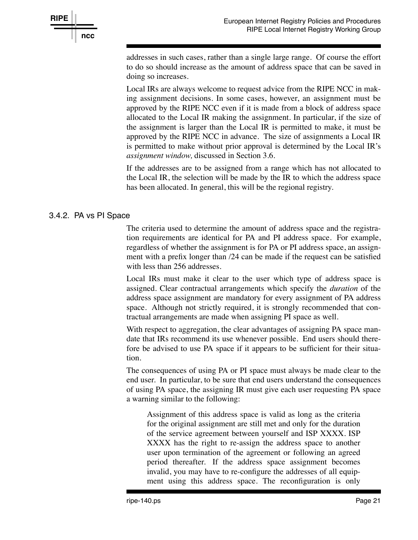

addresses in such cases, rather than a single large range. Of course the effort to do so should increase as the amount of address space that can be saved in doing so increases.

Local IRs are always welcome to request advice from the RIPE NCC in making assignment decisions. In some cases, however, an assignment must be approved by the RIPE NCC even if it is made from a block of address space allocated to the Local IR making the assignment. In particular, if the size of the assignment is larger than the Local IR is permitted to make, it must be approved by the RIPE NCC in advance. The size of assignments a Local IR is permitted to make without prior approval is determined by the Local IR's *assignment window,* discussed in Section 3.6.

If the addresses are to be assigned from a range which has not allocated to the Local IR, the selection will be made by the IR to which the address space has been allocated. In general, this will be the regional registry.

### 3.4.2. PA vs PI Space

The criteria used to determine the amount of address space and the registration requirements are identical for PA and PI address space. For example, regardless of whether the assignment is for PA or PI address space, an assignment with a prefix longer than /24 can be made if the request can be satisfied with less than 256 addresses.

Local IRs must make it clear to the user which type of address space is assigned. Clear contractual arrangements which specify the *duration* of the address space assignment are mandatory for every assignment of PA address space. Although not strictly required, it is strongly recommended that contractual arrangements are made when assigning PI space as well.

With respect to aggregation, the clear advantages of assigning PA space mandate that IRs recommend its use whenever possible. End users should therefore be advised to use PA space if it appears to be sufficient for their situation.

The consequences of using PA or PI space must always be made clear to the end user. In particular, to be sure that end users understand the consequences of using PA space, the assigning IR must give each user requesting PA space a warning similar to the following:

Assignment of this address space is valid as long as the criteria for the original assignment are still met and only for the duration of the service agreement between yourself and ISP XXXX. ISP XXXX has the right to re-assign the address space to another user upon termination of the agreement or following an agreed period thereafter. If the address space assignment becomes invalid, you may have to re-configure the addresses of all equipment using this address space. The reconfiguration is only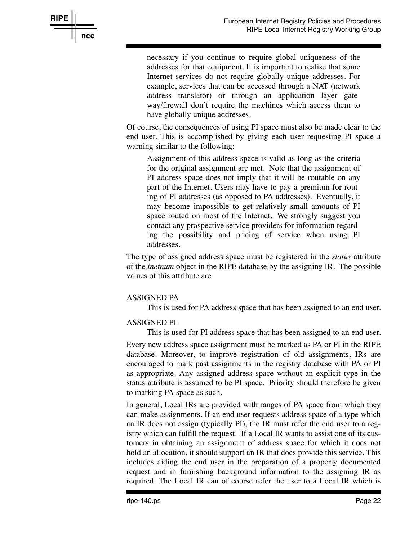necessary if you continue to require global uniqueness of the addresses for that equipment. It is important to realise that some Internet services do not require globally unique addresses. For example, services that can be accessed through a NAT (network address translator) or through an application layer gateway/firewall don't require the machines which access them to have globally unique addresses.

Of course, the consequences of using PI space must also be made clear to the end user. This is accomplished by giving each user requesting PI space a warning similar to the following:

Assignment of this address space is valid as long as the criteria for the original assignment are met. Note that the assignment of PI address space does not imply that it will be routable on any part of the Internet. Users may have to pay a premium for routing of PI addresses (as opposed to PA addresses). Eventually, it may become impossible to get relatively small amounts of PI space routed on most of the Internet. We strongly suggest you contact any prospective service providers for information regarding the possibility and pricing of service when using PI addresses.

The type of assigned address space must be registered in the *status* attribute of the *inetnum* object in the RIPE database by the assigning IR. The possible values of this attribute are

#### ASSIGNED PA

**RIPE**

**ncc**

This is used for PA address space that has been assigned to an end user.

#### ASSIGNED PI

This is used for PI address space that has been assigned to an end user.

Every new address space assignment must be marked as PA or PI in the RIPE database. Moreover, to improve registration of old assignments, IRs are encouraged to mark past assignments in the registry database with PA or PI as appropriate. Any assigned address space without an explicit type in the status attribute is assumed to be PI space. Priority should therefore be given to marking PA space as such.

In general, Local IRs are provided with ranges of PA space from which they can make assignments. If an end user requests address space of a type which an IR does not assign (typically PI), the IR must refer the end user to a registry which can fulfill the request. If a Local IR wants to assist one of its customers in obtaining an assignment of address space for which it does not hold an allocation, it should support an IR that does provide this service. This includes aiding the end user in the preparation of a properly documented request and in furnishing background information to the assigning IR as required. The Local IR can of course refer the user to a Local IR which is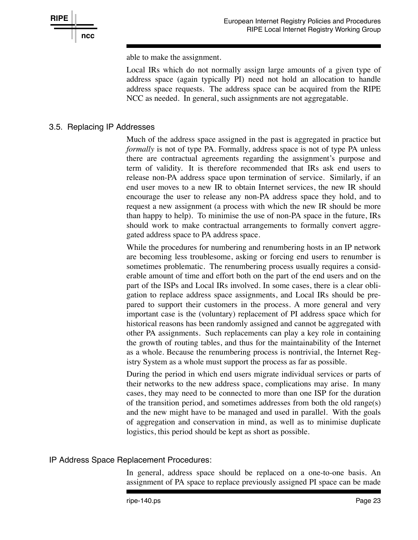

able to make the assignment.

Local IRs which do not normally assign large amounts of a given type of address space (again typically PI) need not hold an allocation to handle address space requests. The address space can be acquired from the RIPE NCC as needed. In general, such assignments are not aggregatable.

### 3.5. Replacing IP Addresses

Much of the address space assigned in the past is aggregated in practice but *formally* is not of type PA. Formally, address space is not of type PA unless there are contractual agreements regarding the assignment's purpose and term of validity. It is therefore recommended that IRs ask end users to release non-PA address space upon termination of service. Similarly, if an end user moves to a new IR to obtain Internet services, the new IR should encourage the user to release any non-PA address space they hold, and to request a new assignment (a process with which the new IR should be more than happy to help). To minimise the use of non-PA space in the future, IRs should work to make contractual arrangements to formally convert aggregated address space to PA address space.

While the procedures for numbering and renumbering hosts in an IP network are becoming less troublesome, asking or forcing end users to renumber is sometimes problematic. The renumbering process usually requires a considerable amount of time and effort both on the part of the end users and on the part of the ISPs and Local IRs involved. In some cases, there is a clear obligation to replace address space assignments, and Local IRs should be prepared to support their customers in the process. A more general and very important case is the (voluntary) replacement of PI address space which for historical reasons has been randomly assigned and cannot be aggregated with other PA assignments. Such replacements can play a key role in containing the growth of routing tables, and thus for the maintainability of the Internet as a whole. Because the renumbering process is nontrivial, the Internet Registry System as a whole must support the process as far as possible.

During the period in which end users migrate individual services or parts of their networks to the new address space, complications may arise. In many cases, they may need to be connected to more than one ISP for the duration of the transition period, and sometimes addresses from both the old range(s) and the new might have to be managed and used in parallel. With the goals of aggregation and conservation in mind, as well as to minimise duplicate logistics, this period should be kept as short as possible.

#### IP Address Space Replacement Procedures:

In general, address space should be replaced on a one-to-one basis. An assignment of PA space to replace previously assigned PI space can be made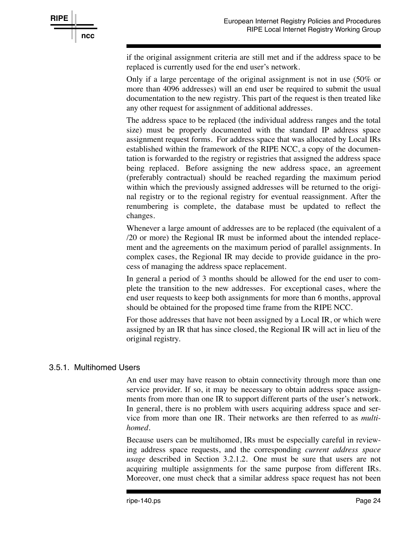

if the original assignment criteria are still met and if the address space to be replaced is currently used for the end user's network.

Only if a large percentage of the original assignment is not in use (50% or more than 4096 addresses) will an end user be required to submit the usual documentation to the new registry. This part of the request is then treated like any other request for assignment of additional addresses.

The address space to be replaced (the individual address ranges and the total size) must be properly documented with the standard IP address space assignment request forms. For address space that was allocated by Local IRs established within the framework of the RIPE NCC, a copy of the documentation is forwarded to the registry or registries that assigned the address space being replaced. Before assigning the new address space, an agreement (preferably contractual) should be reached regarding the maximum period within which the previously assigned addresses will be returned to the original registry or to the regional registry for eventual reassignment. After the renumbering is complete, the database must be updated to reflect the changes.

Whenever a large amount of addresses are to be replaced (the equivalent of a /20 or more) the Regional IR must be informed about the intended replacement and the agreements on the maximum period of parallel assignments. In complex cases, the Regional IR may decide to provide guidance in the process of managing the address space replacement.

In general a period of 3 months should be allowed for the end user to complete the transition to the new addresses. For exceptional cases, where the end user requests to keep both assignments for more than 6 months, approval should be obtained for the proposed time frame from the RIPE NCC.

For those addresses that have not been assigned by a Local IR, or which were assigned by an IR that has since closed, the Regional IR will act in lieu of the original registry.

### 3.5.1. Multihomed Users

An end user may have reason to obtain connectivity through more than one service provider. If so, it may be necessary to obtain address space assignments from more than one IR to support different parts of the user's network. In general, there is no problem with users acquiring address space and service from more than one IR. Their networks are then referred to as *multihomed.*

Because users can be multihomed, IRs must be especially careful in reviewing address space requests, and the corresponding *current address space usage* described in Section 3.2.1.2. One must be sure that users are not acquiring multiple assignments for the same purpose from different IRs. Moreover, one must check that a similar address space request has not been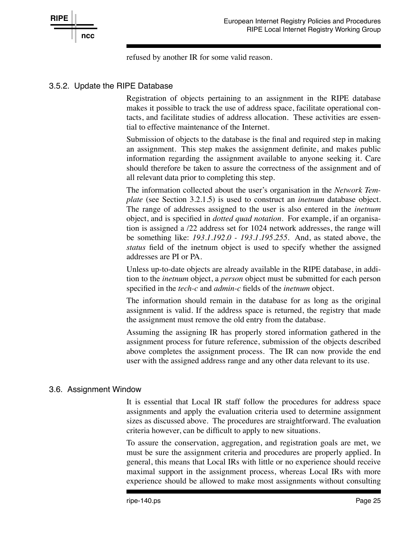

refused by another IR for some valid reason.

### 3.5.2. Update the RIPE Database

Registration of objects pertaining to an assignment in the RIPE database makes it possible to track the use of address space, facilitate operational contacts, and facilitate studies of address allocation. These activities are essential to effective maintenance of the Internet.

Submission of objects to the database is the final and required step in making an assignment. This step makes the assignment definite, and makes public information regarding the assignment available to anyone seeking it. Care should therefore be taken to assure the correctness of the assignment and of all relevant data prior to completing this step.

The information collected about the user's organisation in the *Network Template* (see Section 3.2.1.5) is used to construct an *inetnum* database object. The range of addresses assigned to the user is also entered in the *inetnum* object, and is specified in *dotted quad notation.* For example, if an organisation is assigned a /22 address set for 1024 network addresses, the range will be something like: *193.1.192.0 - 193.1.195.255.* And, as stated above, the *status* field of the inetnum object is used to specify whether the assigned addresses are PI or PA.

Unless up-to-date objects are already available in the RIPE database, in addition to the *inetnum* object, a *person* object must be submitted for each person specified in the *tech-c* and *admin-c* fields of the *inetnum* object.

The information should remain in the database for as long as the original assignment is valid. If the address space is returned, the registry that made the assignment must remove the old entry from the database.

Assuming the assigning IR has properly stored information gathered in the assignment process for future reference, submission of the objects described above completes the assignment process. The IR can now provide the end user with the assigned address range and any other data relevant to its use.

#### 3.6. Assignment Window

It is essential that Local IR staff follow the procedures for address space assignments and apply the evaluation criteria used to determine assignment sizes as discussed above. The procedures are straightforward. The evaluation criteria however, can be difficult to apply to new situations.

To assure the conservation, aggregation, and registration goals are met, we must be sure the assignment criteria and procedures are properly applied. In general, this means that Local IRs with little or no experience should receive maximal support in the assignment process, whereas Local IRs with more experience should be allowed to make most assignments without consulting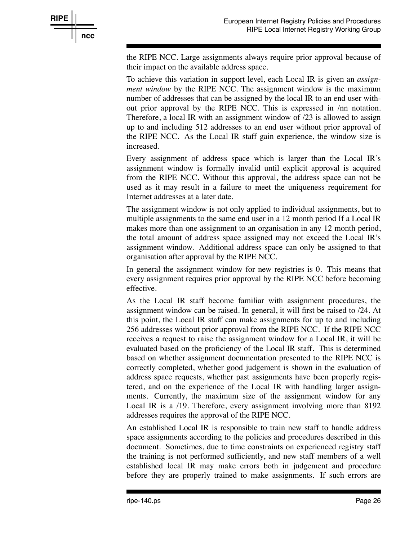

the RIPE NCC. Large assignments always require prior approval because of their impact on the available address space.

To achieve this variation in support level, each Local IR is given an *assignment window* by the RIPE NCC. The assignment window is the maximum number of addresses that can be assigned by the local IR to an end user without prior approval by the RIPE NCC. This is expressed in /nn notation. Therefore, a local IR with an assignment window of /23 is allowed to assign up to and including 512 addresses to an end user without prior approval of the RIPE NCC. As the Local IR staff gain experience, the window size is increased.

Every assignment of address space which is larger than the Local IR's assignment window is formally invalid until explicit approval is acquired from the RIPE NCC. Without this approval, the address space can not be used as it may result in a failure to meet the uniqueness requirement for Internet addresses at a later date.

The assignment window is not only applied to individual assignments, but to multiple assignments to the same end user in a 12 month period If a Local IR makes more than one assignment to an organisation in any 12 month period, the total amount of address space assigned may not exceed the Local IR's assignment window. Additional address space can only be assigned to that organisation after approval by the RIPE NCC.

In general the assignment window for new registries is 0. This means that every assignment requires prior approval by the RIPE NCC before becoming effective.

As the Local IR staff become familiar with assignment procedures, the assignment window can be raised. In general, it will first be raised to /24. At this point, the Local IR staff can make assignments for up to and including 256 addresses without prior approval from the RIPE NCC. If the RIPE NCC receives a request to raise the assignment window for a Local IR, it will be evaluated based on the proficiency of the Local IR staff. This is determined based on whether assignment documentation presented to the RIPE NCC is correctly completed, whether good judgement is shown in the evaluation of address space requests, whether past assignments have been properly registered, and on the experience of the Local IR with handling larger assignments. Currently, the maximum size of the assignment window for any Local IR is a /19. Therefore, every assignment involving more than 8192 addresses requires the approval of the RIPE NCC.

An established Local IR is responsible to train new staff to handle address space assignments according to the policies and procedures described in this document. Sometimes, due to time constraints on experienced registry staff the training is not performed sufficiently, and new staff members of a well established local IR may make errors both in judgement and procedure before they are properly trained to make assignments. If such errors are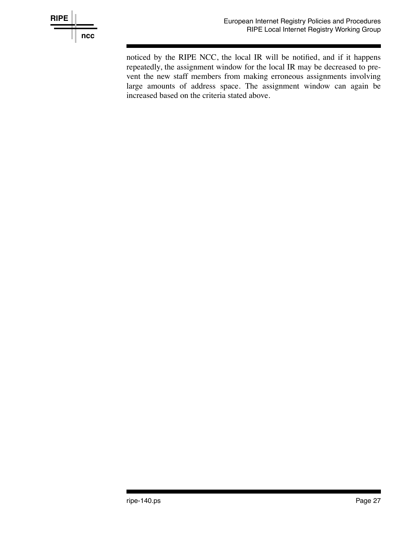

noticed by the RIPE NCC, the local IR will be notified, and if it happens repeatedly, the assignment window for the local IR may be decreased to prevent the new staff members from making erroneous assignments involving large amounts of address space. The assignment window can again be increased based on the criteria stated above.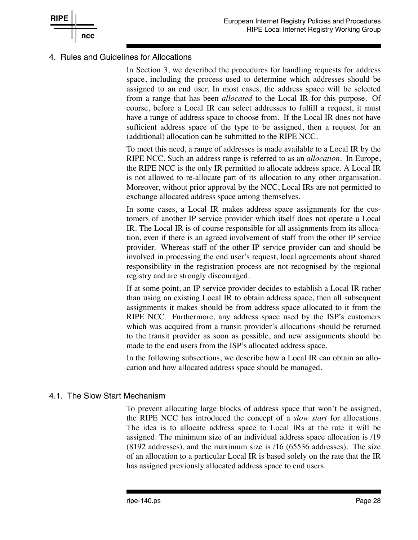

#### 4. Rules and Guidelines for Allocations

**RIPE**

**ncc**

In Section 3, we described the procedures for handling requests for address space, including the process used to determine which addresses should be assigned to an end user. In most cases, the address space will be selected from a range that has been *allocated* to the Local IR for this purpose. Of course, before a Local IR can select addresses to fulfill a request, it must have a range of address space to choose from. If the Local IR does not have sufficient address space of the type to be assigned, then a request for an (additional) allocation can be submitted to the RIPE NCC.

To meet this need, a range of addresses is made available to a Local IR by the RIPE NCC. Such an address range is referred to as an *allocation.* In Europe, the RIPE NCC is the only IR permitted to allocate address space. A Local IR is not allowed to re-allocate part of its allocation to any other organisation. Moreover, without prior approval by the NCC, Local IRs are not permitted to exchange allocated address space among themselves.

In some cases, a Local IR makes address space assignments for the customers of another IP service provider which itself does not operate a Local IR. The Local IR is of course responsible for all assignments from its allocation, even if there is an agreed involvement of staff from the other IP service provider. Whereas staff of the other IP service provider can and should be involved in processing the end user's request, local agreements about shared responsibility in the registration process are not recognised by the regional registry and are strongly discouraged.

If at some point, an IP service provider decides to establish a Local IR rather than using an existing Local IR to obtain address space, then all subsequent assignments it makes should be from address space allocated to it from the RIPE NCC. Furthermore, any address space used by the ISP's customers which was acquired from a transit provider's allocations should be returned to the transit provider as soon as possible, and new assignments should be made to the end users from the ISP's allocated address space.

In the following subsections, we describe how a Local IR can obtain an allocation and how allocated address space should be managed.

#### 4.1. The Slow Start Mechanism

To prevent allocating large blocks of address space that won't be assigned, the RIPE NCC has introduced the concept of a *slow start* for allocations. The idea is to allocate address space to Local IRs at the rate it will be assigned. The minimum size of an individual address space allocation is /19 (8192 addresses), and the maximum size is /16 (65536 addresses). The size of an allocation to a particular Local IR is based solely on the rate that the IR has assigned previously allocated address space to end users.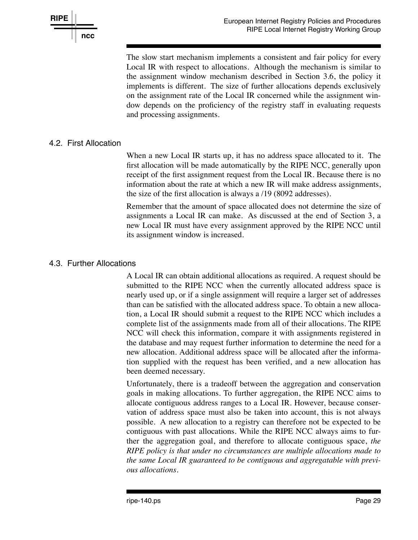

The slow start mechanism implements a consistent and fair policy for every Local IR with respect to allocations. Although the mechanism is similar to the assignment window mechanism described in Section 3.6, the policy it implements is different. The size of further allocations depends exclusively on the assignment rate of the Local IR concerned while the assignment window depends on the proficiency of the registry staff in evaluating requests and processing assignments.

### 4.2. First Allocation

When a new Local IR starts up, it has no address space allocated to it. The first allocation will be made automatically by the RIPE NCC, generally upon receipt of the first assignment request from the Local IR. Because there is no information about the rate at which a new IR will make address assignments, the size of the first allocation is always a /19 (8092 addresses).

Remember that the amount of space allocated does not determine the size of assignments a Local IR can make. As discussed at the end of Section 3, a new Local IR must have every assignment approved by the RIPE NCC until its assignment window is increased.

### 4.3. Further Allocations

A Local IR can obtain additional allocations as required. A request should be submitted to the RIPE NCC when the currently allocated address space is nearly used up, or if a single assignment will require a larger set of addresses than can be satisfied with the allocated address space. To obtain a new allocation, a Local IR should submit a request to the RIPE NCC which includes a complete list of the assignments made from all of their allocations. The RIPE NCC will check this information, compare it with assignments registered in the database and may request further information to determine the need for a new allocation. Additional address space will be allocated after the information supplied with the request has been verified, and a new allocation has been deemed necessary.

Unfortunately, there is a tradeoff between the aggregation and conservation goals in making allocations. To further aggregation, the RIPE NCC aims to allocate contiguous address ranges to a Local IR. However, because conservation of address space must also be taken into account, this is not always possible. A new allocation to a registry can therefore not be expected to be contiguous with past allocations. While the RIPE NCC always aims to further the aggregation goal, and therefore to allocate contiguous space, *the RIPE policy is that under no circumstances are multiple allocations made to the same Local IR guaranteed to be contiguous and aggregatable with previous allocations.*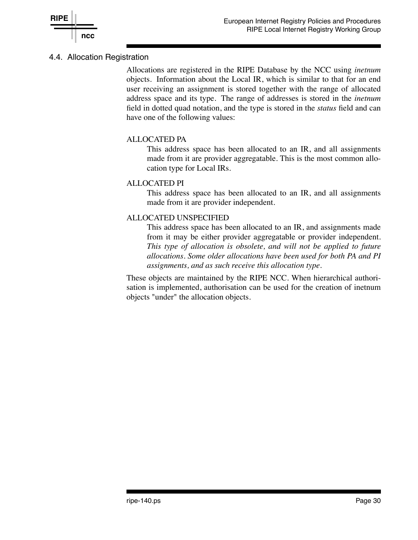

## 4.4. Allocation Registration

Allocations are registered in the RIPE Database by the NCC using *inetnum* objects. Information about the Local IR, which is similar to that for an end user receiving an assignment is stored together with the range of allocated address space and its type. The range of addresses is stored in the *inetnum* field in dotted quad notation, and the type is stored in the *status* field and can have one of the following values:

### ALLOCATED PA

This address space has been allocated to an IR, and all assignments made from it are provider aggregatable. This is the most common allocation type for Local IRs.

### ALLOCATED PI

This address space has been allocated to an IR, and all assignments made from it are provider independent.

### ALLOCATED UNSPECIFIED

This address space has been allocated to an IR, and assignments made from it may be either provider aggregatable or provider independent. *This type of allocation is obsolete, and will not be applied to future allocations. Some older allocations have been used for both PA and PI assignments, and as such receive this allocation type.*

These objects are maintained by the RIPE NCC. When hierarchical authorisation is implemented, authorisation can be used for the creation of inetnum objects "under" the allocation objects.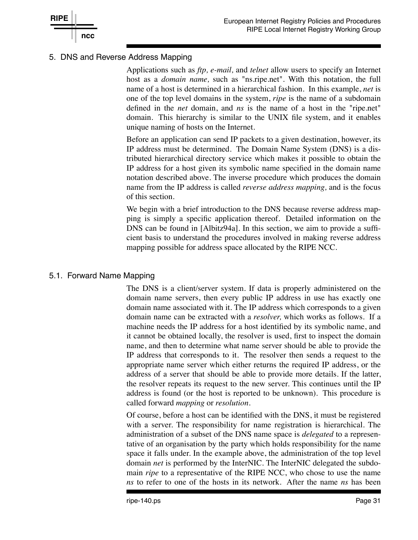

### 5. DNS and Reverse Address Mapping

Applications such as *ftp, e-mail,* and *telnet* allow users to specify an Internet host as a *domain name,* such as "ns.ripe.net". With this notation, the full name of a host is determined in a hierarchical fashion. In this example, *net* is one of the top level domains in the system, *ripe* is the name of a subdomain defined in the *net* domain, and *ns* is the name of a host in the "ripe.net" domain. This hierarchy is similar to the UNIX file system, and it enables unique naming of hosts on the Internet.

Before an application can send IP packets to a given destination, however, its IP address must be determined. The Domain Name System (DNS) is a distributed hierarchical directory service which makes it possible to obtain the IP address for a host given its symbolic name specified in the domain name notation described above. The inverse procedure which produces the domain name from the IP address is called *reverse address mapping*, and is the focus of this section.

We begin with a brief introduction to the DNS because reverse address mapping is simply a specific application thereof. Detailed information on the DNS can be found in [Albitz94a]. In this section, we aim to provide a sufficient basis to understand the procedures involved in making reverse address mapping possible for address space allocated by the RIPE NCC.

### 5.1. Forward Name Mapping

The DNS is a client/server system. If data is properly administered on the domain name servers, then every public IP address in use has exactly one domain name associated with it. The IP address which corresponds to a given domain name can be extracted with a *resolver,* which works as follows. If a machine needs the IP address for a host identified by its symbolic name, and it cannot be obtained locally, the resolver is used, first to inspect the domain name, and then to determine what name server should be able to provide the IP address that corresponds to it. The resolver then sends a request to the appropriate name server which either returns the required IP address, or the address of a server that should be able to provide more details. If the latter, the resolver repeats its request to the new server. This continues until the IP address is found (or the host is reported to be unknown). This procedure is called forward *mapping* or *resolution.*

Of course, before a host can be identified with the DNS, it must be registered with a server. The responsibility for name registration is hierarchical. The administration of a subset of the DNS name space is *delegated* to a representative of an organisation by the party which holds responsibility for the name space it falls under. In the example above, the administration of the top level domain *net* is performed by the InterNIC. The InterNIC delegated the subdomain *ripe* to a representative of the RIPE NCC, who chose to use the name *ns* to refer to one of the hosts in its network. After the name *ns* has been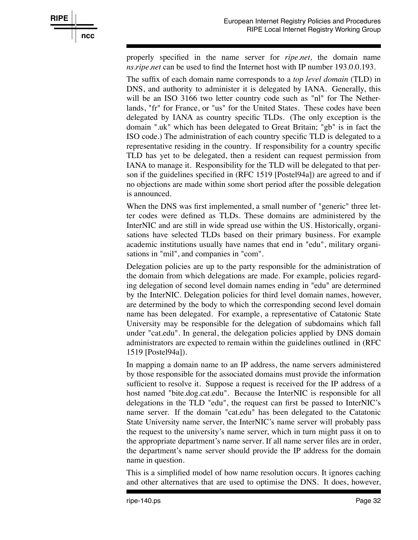

properly specified in the name server for *ripe.net,* the domain name *ns.ripe.net* can be used to find the Internet host with IP number 193.0.0.193.

The suffix of each domain name corresponds to a *top level domain* (TLD) in DNS, and authority to administer it is delegated by IANA. Generally, this will be an ISO 3166 two letter country code such as "nl" for The Netherlands, "fr" for France, or "us" for the United States. These codes have been delegated by IANA as country specific TLDs. (The only exception is the domain ".uk" which has been delegated to Great Britain; "gb" is in fact the ISO code.) The administration of each country specific TLD is delegated to a representative residing in the country. If responsibility for a country specific TLD has yet to be delegated, then a resident can request permission from IANA to manage it. Responsibility for the TLD will be delegated to that person if the guidelines specified in (RFC 1519 [Postel94a]) are agreed to and if no objections are made within some short period after the possible delegation is announced.

When the DNS was first implemented, a small number of "generic" three letter codes were defined as TLDs. These domains are administered by the InterNIC and are still in wide spread use within the US. Historically, organisations have selected TLDs based on their primary business. For example academic institutions usually have names that end in "edu", military organisations in "mil", and companies in "com".

Delegation policies are up to the party responsible for the administration of the domain from which delegations are made. For example, policies regarding delegation of second level domain names ending in "edu" are determined by the InterNIC. Delegation policies for third level domain names, however, are determined by the body to which the corresponding second level domain name has been delegated. For example, a representative of Catatonic State University may be responsible for the delegation of subdomains which fall under "cat.edu". In general, the delegation policies applied by DNS domain administrators are expected to remain within the guidelines outlined in (RFC 1519 [Postel94a]).

In mapping a domain name to an IP address, the name servers administered by those responsible for the associated domains must provide the information sufficient to resolve it. Suppose a request is received for the IP address of a host named "bite.dog.cat.edu". Because the InterNIC is responsible for all delegations in the TLD "edu", the request can first be passed to InterNIC's name server. If the domain "cat.edu" has been delegated to the Catatonic State University name server, the InterNIC's name server will probably pass the request to the university's name server, which in turn might pass it on to the appropriate department's name server. If all name server files are in order, the department's name server should provide the IP address for the domain name in question.

This is a simplified model of how name resolution occurs. It ignores caching and other alternatives that are used to optimise the DNS. It does, however,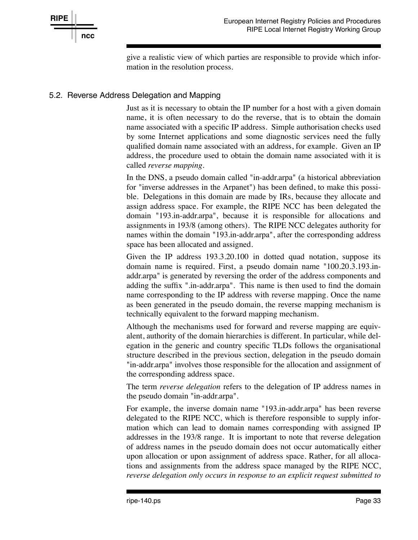

give a realistic view of which parties are responsible to provide which information in the resolution process.

## 5.2. Reverse Address Delegation and Mapping

Just as it is necessary to obtain the IP number for a host with a given domain name, it is often necessary to do the reverse, that is to obtain the domain name associated with a specific IP address. Simple authorisation checks used by some Internet applications and some diagnostic services need the fully qualified domain name associated with an address, for example. Given an IP address, the procedure used to obtain the domain name associated with it is called *reverse mapping*.

In the DNS, a pseudo domain called "in-addr.arpa" (a historical abbreviation for "inverse addresses in the Arpanet") has been defined, to make this possible. Delegations in this domain are made by IRs, because they allocate and assign address space. For example, the RIPE NCC has been delegated the domain "193.in-addr.arpa", because it is responsible for allocations and assignments in 193/8 (among others). The RIPE NCC delegates authority for names within the domain "193.in-addr.arpa", after the corresponding address space has been allocated and assigned.

Given the IP address 193.3.20.100 in dotted quad notation, suppose its domain name is required. First, a pseudo domain name "100.20.3.193.inaddr.arpa" is generated by reversing the order of the address components and adding the suffix ".in-addr.arpa". This name is then used to find the domain name corresponding to the IP address with reverse mapping. Once the name as been generated in the pseudo domain, the reverse mapping mechanism is technically equivalent to the forward mapping mechanism.

Although the mechanisms used for forward and reverse mapping are equivalent, authority of the domain hierarchies is different. In particular, while delegation in the generic and country specific TLDs follows the organisational structure described in the previous section, delegation in the pseudo domain "in-addr.arpa" involves those responsible for the allocation and assignment of the corresponding address space.

The term *reverse delegation* refers to the delegation of IP address names in the pseudo domain "in-addr.arpa".

For example, the inverse domain name "193.in-addr.arpa" has been reverse delegated to the RIPE NCC, which is therefore responsible to supply information which can lead to domain names corresponding with assigned IP addresses in the 193/8 range. It is important to note that reverse delegation of address names in the pseudo domain does not occur automatically either upon allocation or upon assignment of address space. Rather, for all allocations and assignments from the address space managed by the RIPE NCC, *re verse delegation only occurs in response to an explicit request submitted to*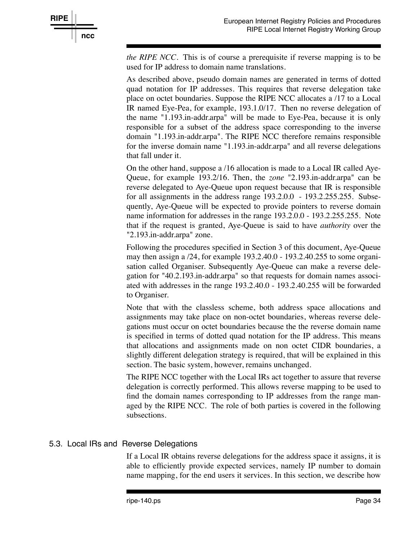

*the RIPE NCC*. This is of course a prerequisite if reverse mapping is to be used for IP address to domain name translations.

As described above, pseudo domain names are generated in terms of dotted quad notation for IP addresses. This requires that reverse delegation take place on octet boundaries. Suppose the RIPE NCC allocates a /17 to a Local IR named Eye-Pea, for example, 193.1.0/17. Then no reverse delegation of the name "1.193.in-addr.arpa" will be made to Eye-Pea, because it is only responsible for a subset of the address space corresponding to the inverse domain "1.193.in-addr.arpa". The RIPE NCC therefore remains responsible for the inverse domain name "1.193.in-addr.arpa" and all reverse delegations that fall under it.

On the other hand, suppose a /16 allocation is made to a Local IR called Aye-Queue, for example 193.2/16. Then, the *zone* "2.193.in-addr.arpa" can be reverse delegated to Aye-Queue upon request because that IR is responsible for all assignments in the address range 193.2.0.0 - 193.2.255.255. Subsequently, Aye-Queue will be expected to provide pointers to reverse domain name information for addresses in the range 193.2.0.0 - 193.2.255.255. Note that if the request is granted, Aye-Queue is said to have *authority* over the "2.193.in-addr.arpa" zone.

Following the procedures specified in Section 3 of this document, Aye-Queue may then assign a /24, for example 193.2.40.0 - 193.2.40.255 to some organisation called Organiser. Subsequently Aye-Queue can make a reverse delegation for "40.2.193.in-addr.arpa" so that requests for domain names associated with addresses in the range 193.2.40.0 - 193.2.40.255 will be forwarded to Organiser.

Note that with the classless scheme, both address space allocations and assignments may take place on non-octet boundaries, whereas reverse delegations must occur on octet boundaries because the the reverse domain name is specified in terms of dotted quad notation for the IP address. This means that allocations and assignments made on non octet CIDR boundaries, a slightly different delegation strategy is required, that will be explained in this section. The basic system, however, remains unchanged.

The RIPE NCC together with the Local IRs act together to assure that reverse delegation is correctly performed. This allows reverse mapping to be used to find the domain names corresponding to IP addresses from the range managed by the RIPE NCC. The role of both parties is covered in the following subsections.

### 5.3. Local IRs and Reverse Delegations

If a Local IR obtains reverse delegations for the address space it assigns, it is able to efficiently provide expected services, namely IP number to domain name mapping, for the end users it services. In this section, we describe how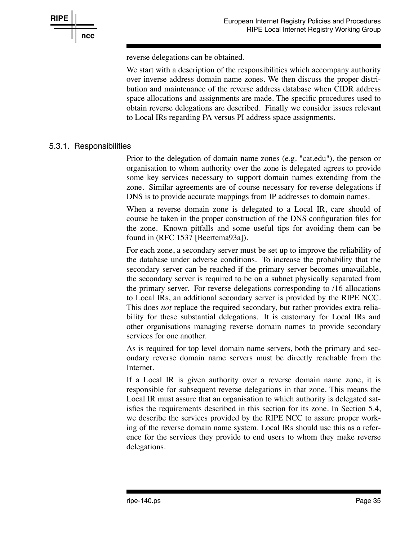

reverse delegations can be obtained.

We start with a description of the responsibilities which accompany authority over inverse address domain name zones. We then discuss the proper distribution and maintenance of the reverse address database when CIDR address space allocations and assignments are made. The specific procedures used to obtain reverse delegations are described. Finally we consider issues relevant to Local IRs regarding PA versus PI address space assignments.

#### 5.3.1. Responsibilities

Prior to the delegation of domain name zones (e.g. "cat.edu"), the person or organisation to whom authority over the zone is delegated agrees to provide some key services necessary to support domain names extending from the zone. Similar agreements are of course necessary for reverse delegations if DNS is to provide accurate mappings from IP addresses to domain names.

When a reverse domain zone is delegated to a Local IR, care should of course be taken in the proper construction of the DNS configuration files for the zone. Known pitfalls and some useful tips for avoiding them can be found in (RFC 1537 [Beertema93a]).

For each zone, a secondary server must be set up to improve the reliability of the database under adverse conditions. To increase the probability that the secondary server can be reached if the primary server becomes unavailable, the secondary server is required to be on a subnet physically separated from the primary server. For reverse delegations corresponding to /16 allocations to Local IRs, an additional secondary server is provided by the RIPE NCC. This does *not* replace the required secondary, but rather provides extra reliability for these substantial delegations. It is customary for Local IRs and other organisations managing reverse domain names to provide secondary services for one another.

As is required for top level domain name servers, both the primary and secondary reverse domain name servers must be directly reachable from the Internet.

If a Local IR is given authority over a reverse domain name zone, it is responsible for subsequent reverse delegations in that zone. This means the Local IR must assure that an organisation to which authority is delegated satisfies the requirements described in this section for its zone. In Section 5.4, we describe the services provided by the RIPE NCC to assure proper working of the reverse domain name system. Local IRs should use this as a reference for the services they provide to end users to whom they make reverse delegations.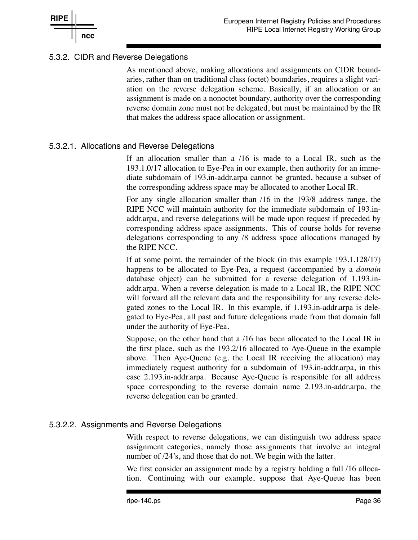## 5.3.2. CIDR and Reverse Delegations

As mentioned above, making allocations and assignments on CIDR boundaries, rather than on traditional class (octet) boundaries, requires a slight variation on the reverse delegation scheme. Basically, if an allocation or an assignment is made on a nonoctet boundary, authority over the corresponding reverse domain zone must not be delegated, but must be maintained by the IR that makes the address space allocation or assignment.

### 5.3.2.1. Allocations and Reverse Delegations

If an allocation smaller than a /16 is made to a Local IR, such as the 193.1.0/17 allocation to Eye-Pea in our example, then authority for an immediate subdomain of 193.in-addr.arpa cannot be granted, because a subset of the corresponding address space may be allocated to another Local IR.

For any single allocation smaller than /16 in the 193/8 address range, the RIPE NCC will maintain authority for the immediate subdomain of 193.inaddr.arpa, and reverse delegations will be made upon request if preceded by corresponding address space assignments. This of course holds for reverse delegations corresponding to any /8 address space allocations managed by the RIPE NCC.

If at some point, the remainder of the block (in this example 193.1.128/17) happens to be allocated to Eye-Pea, a request (accompanied by a *domain* database object) can be submitted for a reverse delegation of 1.193.inaddr.arpa. When a reverse delegation is made to a Local IR, the RIPE NCC will forward all the relevant data and the responsibility for any reverse delegated zones to the Local IR. In this example, if 1.193.in-addr.arpa is delegated to Eye-Pea, all past and future delegations made from that domain fall under the authority of Eye-Pea.

Suppose, on the other hand that a /16 has been allocated to the Local IR in the first place, such as the 193.2/16 allocated to Aye-Queue in the example above. Then Aye-Queue (e.g. the Local IR receiving the allocation) may immediately request authority for a subdomain of 193.in-addr.arpa, in this case 2.193.in-addr.arpa. Because Aye-Queue is responsible for all address space corresponding to the reverse domain name 2.193.in-addr.arpa, the reverse delegation can be granted.

### 5.3.2.2. Assignments and Reverse Delegations

With respect to reverse delegations, we can distinguish two address space assignment categories, namely those assignments that involve an integral number of  $/24$ 's, and those that do not. We begin with the latter.

We first consider an assignment made by a registry holding a full /16 allocation. Continuing with our example, suppose that Aye-Queue has been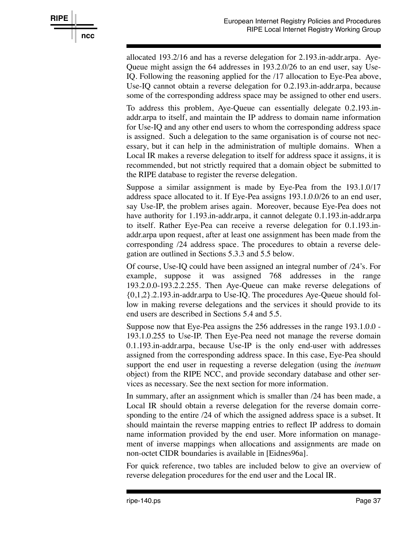

allocated 193.2/16 and has a reverse delegation for 2.193.in-addr.arpa. Aye-Queue might assign the 64 addresses in 193.2.0/26 to an end user, say Use-IQ. Following the reasoning applied for the /17 allocation to Eye-Pea above, Use-IQ cannot obtain a reverse delegation for 0.2.193.in-addr.arpa, because some of the corresponding address space may be assigned to other end users.

To address this problem, Aye-Queue can essentially delegate 0.2.193.inaddr.arpa to itself, and maintain the IP address to domain name information for Use-IQ and any other end users to whom the corresponding address space is assigned. Such a delegation to the same organisation is of course not necessary, but it can help in the administration of multiple domains. When a Local IR makes a reverse delegation to itself for address space it assigns, it is recommended, but not strictly required that a domain object be submitted to the RIPE database to register the reverse delegation.

Suppose a similar assignment is made by Eye-Pea from the 193.1.0/17 address space allocated to it. If Eye-Pea assigns 193.1.0.0/26 to an end user, say Use-IP, the problem arises again. Moreover, because Eye-Pea does not have authority for 1.193.in-addr.arpa, it cannot delegate 0.1.193.in-addr.arpa to itself. Rather Eye-Pea can receive a reverse delegation for 0.1.193.inaddr.arpa upon request, after at least one assignment has been made from the corresponding /24 address space. The procedures to obtain a reverse delegation are outlined in Sections 5.3.3 and 5.5 below.

Of course, Use-IQ could have been assigned an integral number of /24's. For example, suppose it was assigned 768 addresses in the range 193.2.0.0-193.2.2.255. Then Aye-Oueue can make reverse delegations of {0,1,2}.2.193.in-addr.arpa to Use-IQ. The procedures Aye-Queue should follow in making reverse delegations and the services it should provide to its end users are described in Sections 5.4 and 5.5.

Suppose now that Eye-Pea assigns the 256 addresses in the range 193.1.0.0 - 193.1.0.255 to Use-IP. Then Eye-Pea need not manage the reverse domain 0.1.193.in-addr.arpa, because Use-IP is the only end-user with addresses assigned from the corresponding address space. In this case, Eye-Pea should support the end user in requesting a reverse delegation (using the *inetnum* object) from the RIPE NCC, and provide secondary database and other services as necessary. See the next section for more information.

In summary, after an assignment which is smaller than /24 has been made, a Local IR should obtain a reverse delegation for the reverse domain corresponding to the entire /24 of which the assigned address space is a subset. It should maintain the reverse mapping entries to reflect IP address to domain name information provided by the end user. More information on management of inverse mappings when allocations and assignments are made on non-octet CIDR boundaries is available in [Eidnes96a].

For quick reference, two tables are included below to give an overview of reverse delegation procedures for the end user and the Local IR.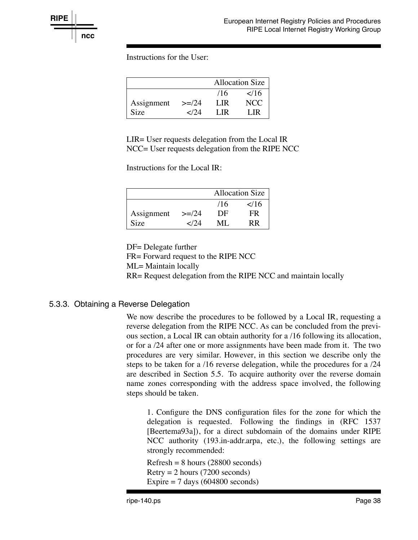Instructions for the User:

|            |                | <b>Allocation Size</b> |                |
|------------|----------------|------------------------|----------------|
|            |                | /16                    | $\frac{2}{16}$ |
| Assignment | $>=/24$        | LIR.                   | NCC.           |
| Size       | $\epsilon$ /24 | LIR.                   | I IR           |

LIR= User requests delegation from the Local IR NCC= User requests delegation from the RIPE NCC

Instructions for the Local IR:

|             |              | Allocation Size |               |  |
|-------------|--------------|-----------------|---------------|--|
|             |              | /16             | $\frac{1}{6}$ |  |
| Assignment  | $>=/24$      | DF              | FR            |  |
| <b>Size</b> | $<$ 174 $\,$ | ML              | RR            |  |

DF= Delegate further

FR= Forward request to the RIPE NCC

ML= Maintain locally

RR= Request delegation from the RIPE NCC and maintain locally

### 5.3.3. Obtaining a Reverse Delegation

We now describe the procedures to be followed by a Local IR, requesting a reverse delegation from the RIPE NCC. As can be concluded from the previous section, a Local IR can obtain authority for a /16 following its allocation, or for a /24 after one or more assignments have been made from it. The two procedures are very similar. However, in this section we describe only the steps to be taken for a /16 reverse delegation, while the procedures for a /24 are described in Section 5.5. To acquire authority over the reverse domain name zones corresponding with the address space involved, the following steps should be taken.

1. Configure the DNS configuration files for the zone for which the delegation is requested. Following the findings in (RFC 1537 [Beertema93a]), for a direct subdomain of the domains under RIPE NCC authority (193.in-addr.arpa, etc.), the following settings are strongly recommended:

 $Refresh = 8 hours (28800 seconds)$  $Retry = 2 hours (7200 seconds)$ Expire  $= 7$  days (604800 seconds)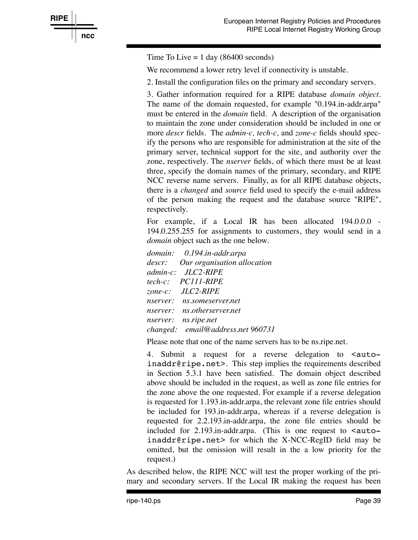Time To Live  $= 1$  day (86400 seconds)

**RIPE**

**ncc**

We recommend a lower retry level if connectivity is unstable.

2. Install the configuration files on the primary and secondary servers.

3. Gather information required for a RIPE database *domain object.* The name of the domain requested, for example "0.194.in-addr.arpa" must be entered in the *domain* field. A description of the organisation to maintain the zone under consideration should be included in one or more *descr* fields. The *admin-c, tech-c,* and *zone-c* fields should specify the persons who are responsible for administration at the site of the primary server, technical support for the site, and authority over the zone, respectively. The *nserver* fields, of which there must be at least three, specify the domain names of the primary, secondary, and RIPE NCC reverse name servers. Finally, as for all RIPE database objects, there is a *changed* and *source* field used to specify the e-mail address of the person making the request and the database source "RIPE", respectively.

For example, if a Local IR has been allocated 194.0.0.0 -194.0.255.255 for assignments to customers, they would send in a *domain* object such as the one below.

*domain: 0.194.in-addr.arpa descr: Our organisation allocation admin-c: JLC2-RIPE tech-c: PC111-RIPE zone-c: JLC2-RIPE nserver: ns.someserver.net nserver: ns.otherserver.net nserver: ns.ripe.net changed: email@address.net 960731*

Please note that one of the name servers has to be ns.ripe.net.

4. Submit a request for a reverse delegation to  $\epsilon$  autoinaddr@ripe.net>. This step implies the requirements described in Section 5.3.1 have been satisfied. The domain object described above should be included in the request, as well as zone file entries for the zone above the one requested. For example if a reverse delegation is requested for 1.193.in-addr.arpa, the relevant zone file entries should be included for 193.in-addr.arpa, whereas if a reverse delegation is requested for 2.2.193.in-addr.arpa, the zone file entries should be included for  $2.193$  in-addr.arpa. (This is one request to  $\leq$  autoinaddr@ripe.net> for which the X-NCC-RegID field may be omitted, but the omission will result in the a low priority for the request.)

As described below, the RIPE NCC will test the proper working of the primary and secondary servers. If the Local IR making the request has been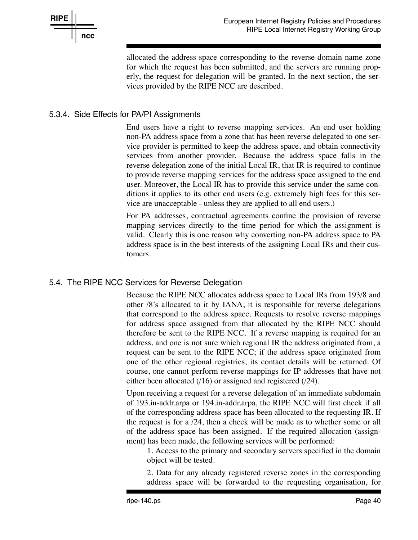

allocated the address space corresponding to the reverse domain name zone for which the request has been submitted, and the servers are running properly, the request for delegation will be granted. In the next section, the services provided by the RIPE NCC are described.

## 5.3.4. Side Effects for PA/PI Assignments

End users have a right to reverse mapping services. An end user holding non-PA address space from a zone that has been reverse delegated to one service provider is permitted to keep the address space, and obtain connectivity services from another provider. Because the address space falls in the reverse delegation zone of the initial Local IR, that IR is required to continue to provide reverse mapping services for the address space assigned to the end user. Moreover, the Local IR has to provide this service under the same conditions it applies to its other end users (e.g. extremely high fees for this service are unacceptable - unless they are applied to all end users.)

For PA addresses, contractual agreements confine the provision of reverse mapping services directly to the time period for which the assignment is valid. Clearly this is one reason why converting non-PA address space to PA address space is in the best interests of the assigning Local IRs and their customers.

### 5.4. The RIPE NCC Services for Reverse Delegation

Because the RIPE NCC allocates address space to Local IRs from 193/8 and other /8's allocated to it by IANA, it is responsible for reverse delegations that correspond to the address space. Requests to resolve reverse mappings for address space assigned from that allocated by the RIPE NCC should therefore be sent to the RIPE NCC. If a reverse mapping is required for an address, and one is not sure which regional IR the address originated from, a request can be sent to the RIPE NCC; if the address space originated from one of the other regional registries, its contact details will be returned. Of course, one cannot perform reverse mappings for IP addresses that have not either been allocated (/16) or assigned and registered (/24).

Upon receiving a request for a reverse delegation of an immediate subdomain of 193.in-addr.arpa or 194.in-addr.arpa, the RIPE NCC will first check if all of the corresponding address space has been allocated to the requesting IR. If the request is for a /24, then a check will be made as to whether some or all of the address space has been assigned. If the required allocation (assignment) has been made, the following services will be performed:

1. Access to the primary and secondary servers specified in the domain object will be tested.

2. Data for any already registered reverse zones in the corresponding address space will be forwarded to the requesting organisation, for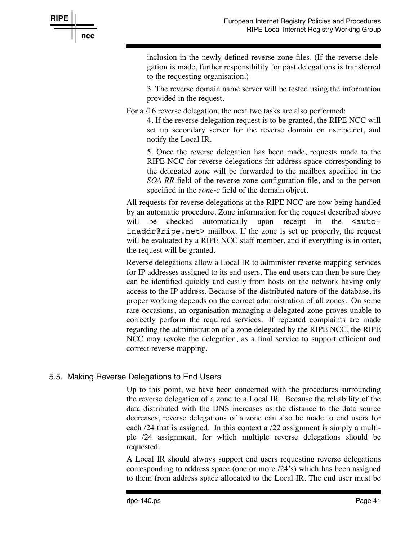

inclusion in the newly defined reverse zone files. (If the reverse delegation is made, further responsibility for past delegations is transferred to the requesting organisation.)

3. The reverse domain name server will be tested using the information provided in the request.

For a /16 reverse delegation, the next two tasks are also performed:

4. If the reverse delegation request is to be granted, the RIPE NCC will set up secondary server for the reverse domain on ns.ripe.net, and notify the Local IR.

5. Once the reverse delegation has been made, requests made to the RIPE NCC for reverse delegations for address space corresponding to the delegated zone will be forwarded to the mailbox specified in the *SOA RR* field of the reverse zone configuration file, and to the person specified in the *zone-c* field of the domain object.

All requests for reverse delegations at the RIPE NCC are now being handled by an automatic procedure. Zone information for the request described above will be checked automatically upon receipt in the <autoinaddr@ripe.net> mailbox. If the zone is set up properly, the request will be evaluated by a RIPE NCC staff member, and if everything is in order, the request will be granted.

Reverse delegations allow a Local IR to administer reverse mapping services for IP addresses assigned to its end users. The end users can then be sure they can be identified quickly and easily from hosts on the network having only access to the IP address. Because of the distributed nature of the database, its proper working depends on the correct administration of all zones. On some rare occasions, an organisation managing a delegated zone proves unable to correctly perform the required services. If repeated complaints are made regarding the administration of a zone delegated by the RIPE NCC, the RIPE NCC may revoke the delegation, as a final service to support efficient and correct reverse mapping.

### 5.5. Making Reverse Delegations to End Users

Up to this point, we have been concerned with the procedures surrounding the reverse delegation of a zone to a Local IR. Because the reliability of the data distributed with the DNS increases as the distance to the data source decreases, reverse delegations of a zone can also be made to end users for each /24 that is assigned. In this context a /22 assignment is simply a multiple /24 assignment, for which multiple reverse delegations should be requested.

A Local IR should always support end users requesting reverse delegations corresponding to address space (one or more /24's) which has been assigned to them from address space allocated to the Local IR. The end user must be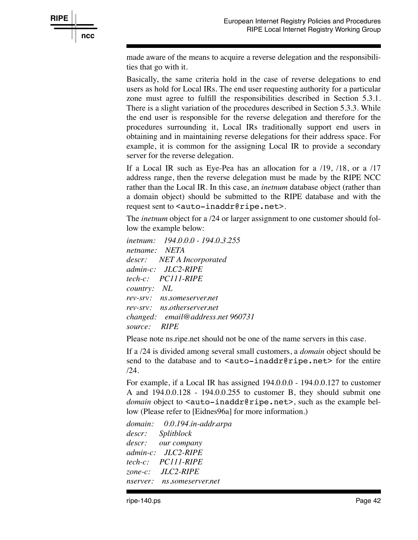

made aware of the means to acquire a reverse delegation and the responsibilities that go with it.

Basically, the same criteria hold in the case of reverse delegations to end users as hold for Local IRs. The end user requesting authority for a particular zone must agree to fulfill the responsibilities described in Section 5.3.1. There is a slight variation of the procedures described in Section 5.3.3. While the end user is responsible for the reverse delegation and therefore for the procedures surrounding it, Local IRs traditionally support end users in obtaining and in maintaining reverse delegations for their address space. For example, it is common for the assigning Local IR to provide a secondary server for the reverse delegation.

If a Local IR such as Eye-Pea has an allocation for a /19, /18, or a /17 address range, then the reverse delegation must be made by the RIPE NCC rather than the Local IR. In this case, an *inetnum* database object (rather than a domain object) should be submitted to the RIPE database and with the request sent to <auto-inaddr@ripe.net>.

The *inetnum* object for a /24 or larger assignment to one customer should follow the example below:

*inetnum: 194.0.0.0 - 194.0.3.255 netname: NETA descr: NET A Incorporated admin-c: JLC2-RIPE tech-c: PC111-RIPE country: NL re v-srv: ns.someserver.net re v-srv: ns.otherserver.net changed: email@address.net 960731 source: RIPE*

Please note ns.ripe.net should not be one of the name servers in this case.

If a /24 is divided among several small customers, a *domain* object should be send to the database and to <auto-inaddr@ripe.net> for the entire /24.

For example, if a Local IR has assigned 194.0.0.0 - 194.0.0.127 to customer A and 194.0.0.128 - 194.0.0.255 to customer B, they should submit one *domain* object to <auto-inaddr@ripe.net>, such as the example bellow (Please refer to [Eidnes96a] for more information.)

*domain: 0.0.194.in-addr.arpa descr: Splitblock descr: our company admin-c: JLC2-RIPE tech-c: PC111-RIPE zone-c: JLC2-RIPE nserver: ns.someserver.net*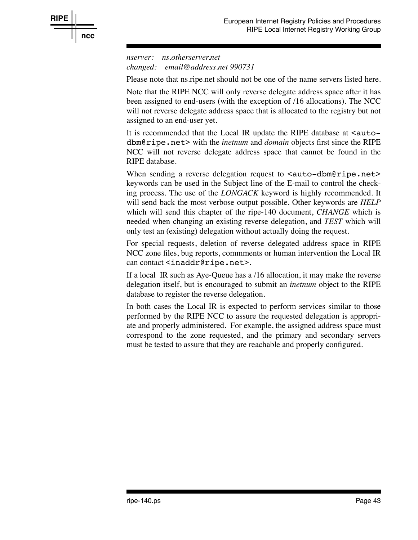

*nserver: ns.otherserver.net changed: email@address.net 990731*

Please note that ns.ripe.net should not be one of the name servers listed here.

Note that the RIPE NCC will only reverse delegate address space after it has been assigned to end-users (with the exception of /16 allocations). The NCC will not reverse delegate address space that is allocated to the registry but not assigned to an end-user yet.

It is recommended that the Local IR update the RIPE database at  $\leq$  autodbm@ripe.net> with the *inetnum* and *domain* objects first since the RIPE NCC will not reverse delegate address space that cannot be found in the RIPE database.

When sending a reverse delegation request to  $\langle \text{auto-dbm}\rangle$  ripe.net> keywords can be used in the Subject line of the E-mail to control the checking process. The use of the *LONGACK* keyword is highly recommended. It will send back the most verbose output possible. Other keywords are *HELP* which will send this chapter of the ripe-140 document, *CHANGE* which is needed when changing an existing reverse delegation, and *TEST* which will only test an (existing) delegation without actually doing the request.

For special requests, deletion of reverse delegated address space in RIPE NCC zone files, bug reports, commments or human intervention the Local IR can contact <inaddr@ripe.net>.

If a local IR such as Aye-Queue has a /16 allocation, it may make the reverse delegation itself, but is encouraged to submit an *inetnum* object to the RIPE database to register the reverse delegation.

In both cases the Local IR is expected to perform services similar to those performed by the RIPE NCC to assure the requested delegation is appropriate and properly administered. For example, the assigned address space must correspond to the zone requested, and the primary and secondary servers must be tested to assure that they are reachable and properly configured.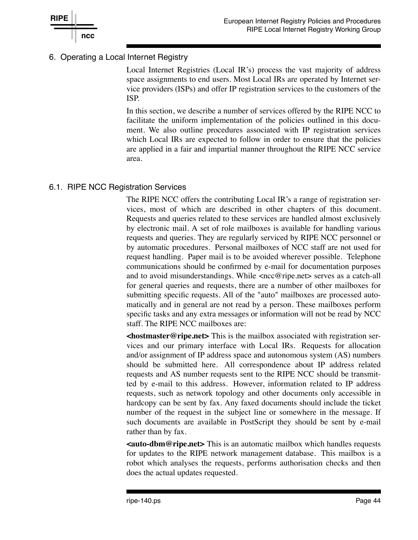

## 6. Operating a Local Internet Registry

Local Internet Registries (Local IR's) process the vast majority of address space assignments to end users. Most Local IRs are operated by Internet service providers (ISPs) and offer IP registration services to the customers of the ISP.

In this section, we describe a number of services offered by the RIPE NCC to facilitate the uniform implementation of the policies outlined in this document. We also outline procedures associated with IP registration services which Local IRs are expected to follow in order to ensure that the policies are applied in a fair and impartial manner throughout the RIPE NCC service area.

### 6.1. RIPE NCC Registration Services

The RIPE NCC offers the contributing Local IR's a range of registration services, most of which are described in other chapters of this document. Requests and queries related to these services are handled almost exclusively by electronic mail. A set of role mailboxes is available for handling various requests and queries. They are regularly serviced by RIPE NCC personnel or by automatic procedures. Personal mailboxes of NCC staff are not used for request handling. Paper mail is to be avoided wherever possible. Telephone communications should be confirmed by e-mail for documentation purposes and to avoid misunderstandings. While <ncc@ripe.net> serves as a catch-all for general queries and requests, there are a number of other mailboxes for submitting specific requests. All of the "auto" mailboxes are processed automatically and in general are not read by a person. These mailboxes perform specific tasks and any extra messages or information will not be read by NCC staff. The RIPE NCC mailboxes are:

**<hostmaster@ripe.net>** This is the mailbox associated with registration services and our primary interface with Local IRs. Requests for allocation and/or assignment of IP address space and autonomous system (AS) numbers should be submitted here. All correspondence about IP address related requests and AS number requests sent to the RIPE NCC should be transmitted by e-mail to this address. However, information related to IP address requests, such as network topology and other documents only accessible in hardcopy can be sent by fax. Any faxed documents should include the ticket number of the request in the subject line or somewhere in the message. If such documents are available in PostScript they should be sent by e-mail rather than by fax.

**<auto-dbm@ripe.net>** This is an automatic mailbox which handles requests for updates to the RIPE network management database. This mailbox is a robot which analyses the requests, performs authorisation checks and then does the actual updates requested.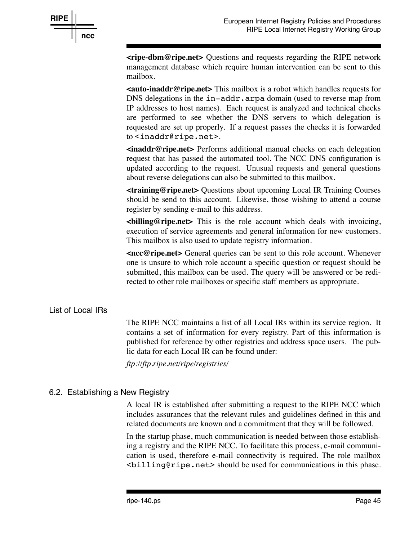

**<ripe-dbm@ripe.net>** Questions and requests regarding the RIPE network management database which require human intervention can be sent to this mailbox.

**<auto-inaddr@ripe.net>** This mailbox is a robot which handles requests for DNS delegations in the in-addr.arpa domain (used to reverse map from IP addresses to host names). Each request is analyzed and technical checks are performed to see whether the DNS servers to which delegation is requested are set up properly. If a request passes the checks it is forwarded to <inaddr@ripe.net>.

**<inaddr@ripe.net>** Performs additional manual checks on each delegation request that has passed the automated tool. The NCC DNS configuration is updated according to the request. Unusual requests and general questions about reverse delegations can also be submitted to this mailbox.

**<training@ripe.net>** Questions about upcoming Local IR Training Courses should be send to this account. Likewise, those wishing to attend a course register by sending e-mail to this address.

**<billing@ripe.net>** This is the role account which deals with invoicing, execution of service agreements and general information for new customers. This mailbox is also used to update registry information.

**<ncc@ripe.net>** General queries can be sent to this role account. Whenever one is unsure to which role account a specific question or request should be submitted, this mailbox can be used. The query will be answered or be redirected to other role mailboxes or specific staff members as appropriate.

### List of Local IRs

The RIPE NCC maintains a list of all Local IRs within its service region. It contains a set of information for every registry. Part of this information is published for reference by other registries and address space users. The public data for each Local IR can be found under:

*ftp://ftp.ripe.net/ripe/registries/*

### 6.2. Establishing a New Registry

A local IR is established after submitting a request to the RIPE NCC which includes assurances that the relevant rules and guidelines defined in this and related documents are known and a commitment that they will be followed.

In the startup phase, much communication is needed between those establishing a registry and the RIPE NCC. To facilitate this process, e-mail communication is used, therefore e-mail connectivity is required. The role mailbox <billing@ripe.net> should be used for communications in this phase.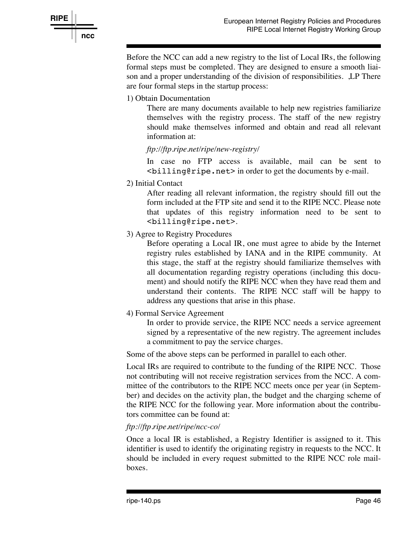

**RIPE ncc**

> Before the NCC can add a new registry to the list of Local IRs, the following formal steps must be completed. They are designed to ensure a smooth liaison and a proper understanding of the division of responsibilities. ,LP There are four formal steps in the startup process:

1) Obtain Documentation

There are many documents available to help new registries familiarize themselves with the registry process. The staff of the new registry should make themselves informed and obtain and read all relevant information at:

*ftp://ftp.ripe.net/ripe/new-registry/*

In case no FTP access is available, mail can be sent to <billing@ripe.net> in order to get the documents by e-mail.

2) Initial Contact

After reading all relevant information, the registry should fill out the form included at the FTP site and send it to the RIPE NCC. Please note that updates of this registry information need to be sent to <billing@ripe.net>.

3) Agree to Registry Procedures

Before operating a Local IR, one must agree to abide by the Internet registry rules established by IANA and in the RIPE community. At this stage, the staff at the registry should familiarize themselves with all documentation regarding registry operations (including this document) and should notify the RIPE NCC when they have read them and understand their contents. The RIPE NCC staff will be happy to address any questions that arise in this phase.

4) Formal Service Agreement

In order to provide service, the RIPE NCC needs a service agreement signed by a representative of the new registry. The agreement includes a commitment to pay the service charges.

Some of the above steps can be performed in parallel to each other.

Local IRs are required to contribute to the funding of the RIPE NCC. Those not contributing will not receive registration services from the NCC. A committee of the contributors to the RIPE NCC meets once per year (in September) and decides on the activity plan, the budget and the charging scheme of the RIPE NCC for the following year. More information about the contributors committee can be found at:

### *ftp://ftp.ripe.net/ripe/ncc-co/*

Once a local IR is established, a Registry Identifier is assigned to it. This identifier is used to identify the originating registry in requests to the NCC. It should be included in every request submitted to the RIPE NCC role mailboxes.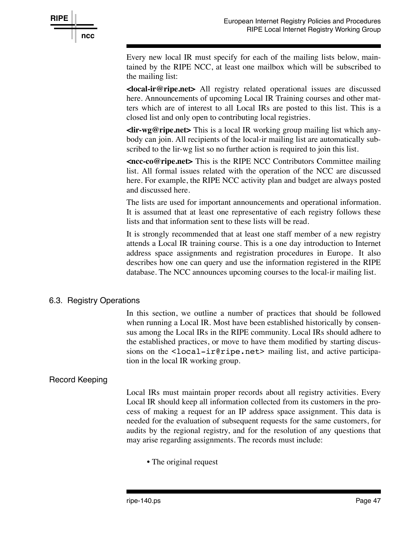

Every new local IR must specify for each of the mailing lists below, maintained by the RIPE NCC, at least one mailbox which will be subscribed to the mailing list:

**<local-ir@ripe.net>** All registry related operational issues are discussed here. Announcements of upcoming Local IR Training courses and other matters which are of interest to all Local IRs are posted to this list. This is a closed list and only open to contributing local registries.

**<lir-wg@ripe.net>** This is a local IR working group mailing list which anybody can join. All recipients of the local-ir mailing list are automatically subscribed to the lir-wg list so no further action is required to join this list.

**<ncc-co@ripe.net>** This is the RIPE NCC Contributors Committee mailing list. All formal issues related with the operation of the NCC are discussed here. For example, the RIPE NCC activity plan and budget are always posted and discussed here.

The lists are used for important announcements and operational information. It is assumed that at least one representative of each registry follows these lists and that information sent to these lists will be read.

It is strongly recommended that at least one staff member of a new registry attends a Local IR training course. This is a one day introduction to Internet address space assignments and registration procedures in Europe. It also describes how one can query and use the information registered in the RIPE database. The NCC announces upcoming courses to the local-ir mailing list.

### 6.3. Registry Operations

In this section, we outline a number of practices that should be followed when running a Local IR. Most have been established historically by consensus among the Local IRs in the RIPE community. Local IRs should adhere to the established practices, or move to have them modified by starting discussions on the <local-ir@ripe.net> mailing list, and active participation in the local IR working group.

### Record Keeping

Local IRs must maintain proper records about all registry activities. Every Local IR should keep all information collected from its customers in the process of making a request for an IP address space assignment. This data is needed for the evaluation of subsequent requests for the same customers, for audits by the regional registry, and for the resolution of any questions that may arise regarding assignments. The records must include:

• The original request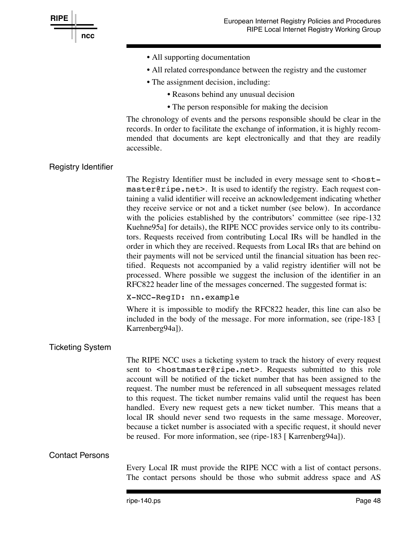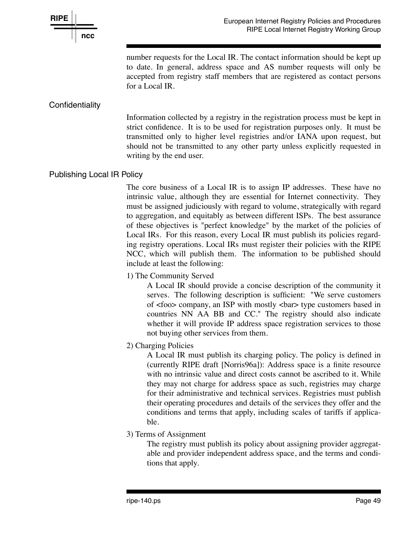

number requests for the Local IR. The contact information should be kept up to date. In general, address space and AS number requests will only be accepted from registry staff members that are registered as contact persons for a Local IR.

## **Confidentiality**

Information collected by a registry in the registration process must be kept in strict confidence. It is to be used for registration purposes only. It must be transmitted only to higher level registries and/or IANA upon request, but should not be transmitted to any other party unless explicitly requested in writing by the end user.

## Publishing Local IR Policy

The core business of a Local IR is to assign IP addresses. These have no intrinsic value, although they are essential for Internet connectivity. They must be assigned judiciously with regard to volume, strategically with regard to aggregation, and equitably as between different ISPs. The best assurance of these objectives is "perfect knowledge" by the market of the policies of Local IRs. For this reason, every Local IR must publish its policies regarding registry operations. Local IRs must register their policies with the RIPE NCC, which will publish them. The information to be published should include at least the following:

1) The Community Served

A Local IR should provide a concise description of the community it serves. The following description is sufficient: "We serve customers of <foo> company, an ISP with mostly <bar> type customers based in countries NN AA BB and CC." The registry should also indicate whether it will provide IP address space registration services to those not buying other services from them.

2) Charging Policies

A Local IR must publish its charging policy. The policy is defined in (currently RIPE draft [Norris96a]): Address space is a finite resource with no intrinsic value and direct costs cannot be ascribed to it. While they may not charge for address space as such, registries may charge for their administrative and technical services. Registries must publish their operating procedures and details of the services they offer and the conditions and terms that apply, including scales of tariffs if applicable.

3) Terms of Assignment

The registry must publish its policy about assigning provider aggregatable and provider independent address space, and the terms and conditions that apply.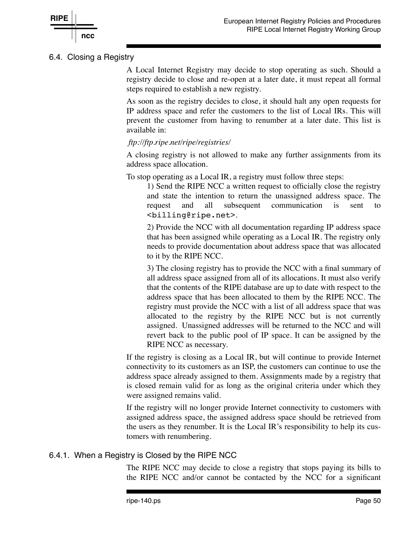

## 6.4. Closing a Registry

A Local Internet Registry may decide to stop operating as such. Should a registry decide to close and re-open at a later date, it must repeat all formal steps required to establish a new registry.

As soon as the registry decides to close, it should halt any open requests for IP address space and refer the customers to the list of Local IRs. This will prevent the customer from having to renumber at a later date. This list is available in:

### *ftp://ftp.ripe.net/ripe/registries/*

A closing registry is not allowed to make any further assignments from its address space allocation.

To stop operating as a Local IR, a registry must follow three steps:

1) Send the RIPE NCC a written request to officially close the registry and state the intention to return the unassigned address space. The request and all subsequent communication is sent to <billing@ripe.net>.

2) Provide the NCC with all documentation regarding IP address space that has been assigned while operating as a Local IR. The registry only needs to provide documentation about address space that was allocated to it by the RIPE NCC.

3) The closing registry has to provide the NCC with a final summary of all address space assigned from all of its allocations. It must also verify that the contents of the RIPE database are up to date with respect to the address space that has been allocated to them by the RIPE NCC. The registry must provide the NCC with a list of all address space that was allocated to the registry by the RIPE NCC but is not currently assigned. Unassigned addresses will be returned to the NCC and will revert back to the public pool of IP space. It can be assigned by the RIPE NCC as necessary.

If the registry is closing as a Local IR, but will continue to provide Internet connectivity to its customers as an ISP, the customers can continue to use the address space already assigned to them. Assignments made by a registry that is closed remain valid for as long as the original criteria under which they were assigned remains valid.

If the registry will no longer provide Internet connectivity to customers with assigned address space, the assigned address space should be retrieved from the users as they renumber. It is the Local IR's responsibility to help its customers with renumbering.

## 6.4.1. When a Registry is Closed by the RIPE NCC

The RIPE NCC may decide to close a registry that stops paying its bills to the RIPE NCC and/or cannot be contacted by the NCC for a significant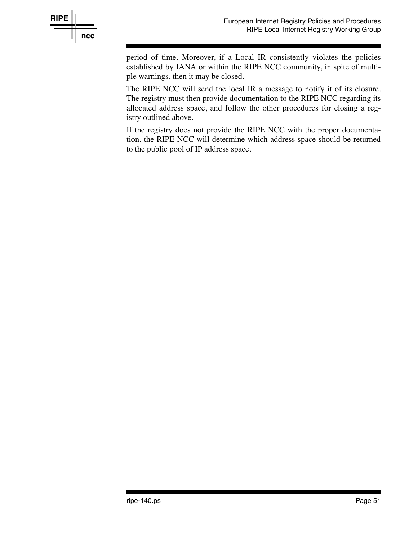

period of time. Moreover, if a Local IR consistently violates the policies established by IANA or within the RIPE NCC community, in spite of multiple warnings, then it may be closed.

The RIPE NCC will send the local IR a message to notify it of its closure. The registry must then provide documentation to the RIPE NCC regarding its allocated address space, and follow the other procedures for closing a registry outlined above.

If the registry does not provide the RIPE NCC with the proper documentation, the RIPE NCC will determine which address space should be returned to the public pool of IP address space.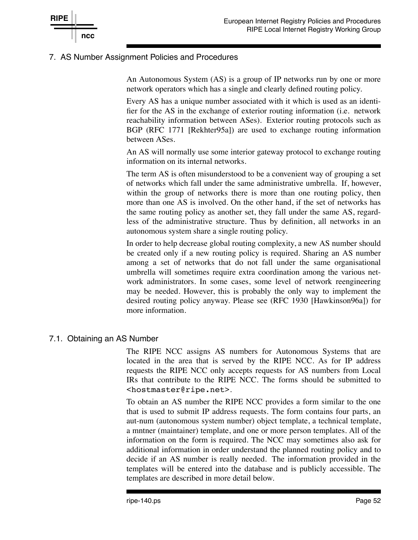

## 7. AS Number Assignment Policies and Procedures

An Autonomous System (AS) is a group of IP networks run by one or more network operators which has a single and clearly defined routing policy.

Every AS has a unique number associated with it which is used as an identifier for the AS in the exchange of exterior routing information (i.e. network reachability information between ASes). Exterior routing protocols such as BGP (RFC 1771 [Rekhter95a]) are used to exchange routing information between ASes.

An AS will normally use some interior gateway protocol to exchange routing information on its internal networks.

The term AS is often misunderstood to be a convenient way of grouping a set of networks which fall under the same administrative umbrella. If, however, within the group of networks there is more than one routing policy, then more than one AS is involved. On the other hand, if the set of networks has the same routing policy as another set, they fall under the same AS, regardless of the administrative structure. Thus by definition, all networks in an autonomous system share a single routing policy.

In order to help decrease global routing complexity, a new AS number should be created only if a new routing policy is required. Sharing an AS number among a set of networks that do not fall under the same organisational umbrella will sometimes require extra coordination among the various network administrators. In some cases, some level of network reengineering may be needed. However, this is probably the only way to implement the desired routing policy anyway. Please see (RFC 1930 [Hawkinson96a]) for more information.

### 7.1. Obtaining an AS Number

The RIPE NCC assigns AS numbers for Autonomous Systems that are located in the area that is served by the RIPE NCC. As for IP address requests the RIPE NCC only accepts requests for AS numbers from Local IRs that contribute to the RIPE NCC. The forms should be submitted to <hostmaster@ripe.net>.

To obtain an AS number the RIPE NCC provides a form similar to the one that is used to submit IP address requests. The form contains four parts, an aut-num (autonomous system number) object template, a technical template, a mntner (maintainer) template, and one or more person templates. All of the information on the form is required. The NCC may sometimes also ask for additional information in order understand the planned routing policy and to decide if an AS number is really needed. The information provided in the templates will be entered into the database and is publicly accessible. The templates are described in more detail below.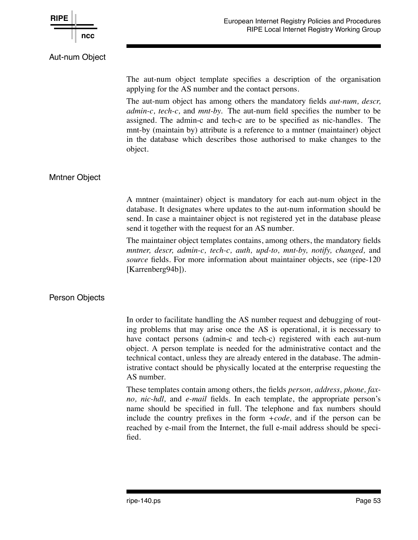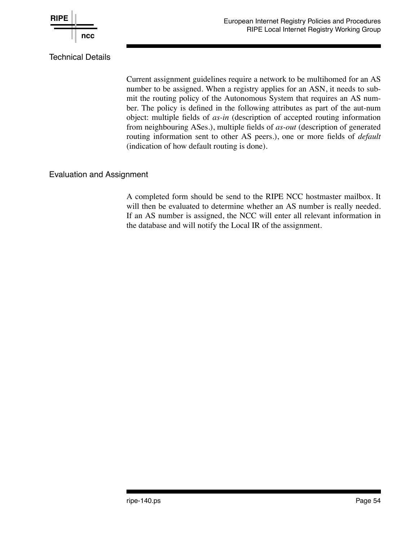

Current assignment guidelines require a network to be multihomed for an AS number to be assigned. When a registry applies for an ASN, it needs to submit the routing policy of the Autonomous System that requires an AS number. The policy is defined in the following attributes as part of the aut-num object: multiple fields of *as-in* (description of accepted routing information from neighbouring ASes.), multiple fields of *as-out* (description of generated routing information sent to other AS peers.), one or more fields of *default* (indication of how default routing is done).

## Evaluation and Assignment

A completed form should be send to the RIPE NCC hostmaster mailbox. It will then be evaluated to determine whether an AS number is really needed. If an AS number is assigned, the NCC will enter all relevant information in the database and will notify the Local IR of the assignment.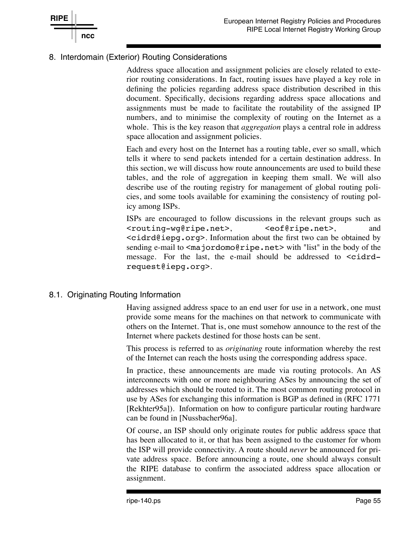

## 8. Interdomain (Exterior) Routing Considerations

Address space allocation and assignment policies are closely related to exterior routing considerations. In fact, routing issues have played a key role in defining the policies regarding address space distribution described in this document. Specifically, decisions regarding address space allocations and assignments must be made to facilitate the routability of the assigned IP numbers, and to minimise the complexity of routing on the Internet as a whole. This is the key reason that *aggregation* plays a central role in address space allocation and assignment policies.

Each and every host on the Internet has a routing table, ever so small, which tells it where to send packets intended for a certain destination address. In this section, we will discuss how route announcements are used to build these tables, and the role of aggregation in keeping them small. We will also describe use of the routing registry for management of global routing policies, and some tools available for examining the consistency of routing policy among ISPs.

ISPs are encouraged to follow discussions in the relevant groups such as <routing-wg@ripe.net>, <eof@ripe.net>, and <cidrd@iepg.org>. Information about the first two can be obtained by sending e-mail to <majordomo@ripe.net> with "list" in the body of the message. For the last, the e-mail should be addressed to <cidrdrequest@iepg.org>.

## 8.1. Originating Routing Information

Having assigned address space to an end user for use in a network, one must provide some means for the machines on that network to communicate with others on the Internet. That is, one must somehow announce to the rest of the Internet where packets destined for those hosts can be sent.

This process is referred to as *originating* route information whereby the rest of the Internet can reach the hosts using the corresponding address space.

In practice, these announcements are made via routing protocols. An AS interconnects with one or more neighbouring ASes by announcing the set of addresses which should be routed to it. The most common routing protocol in use by ASes for exchanging this information is BGP as defined in (RFC 1771 [Rekhter95a]). Information on how to configure particular routing hardware can be found in [Nussbacher96a].

Of course, an ISP should only originate routes for public address space that has been allocated to it, or that has been assigned to the customer for whom the ISP will provide connectivity. A route should *never* be announced for private address space. Before announcing a route, one should always consult the RIPE database to confirm the associated address space allocation or assignment.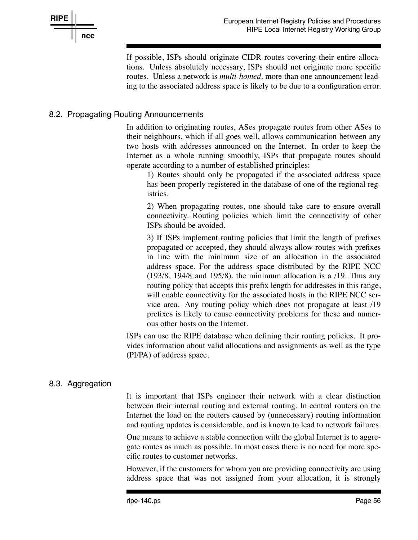

If possible, ISPs should originate CIDR routes covering their entire allocations. Unless absolutely necessary, ISPs should not originate more specific routes. Unless a network is *multi-homed,* more than one announcement leading to the associated address space is likely to be due to a configuration error.

## 8.2. Propagating Routing Announcements

In addition to originating routes, ASes propagate routes from other ASes to their neighbours, which if all goes well, allows communication between any two hosts with addresses announced on the Internet. In order to keep the Internet as a whole running smoothly, ISPs that propagate routes should operate according to a number of established principles:

1) Routes should only be propagated if the associated address space has been properly registered in the database of one of the regional registries.

2) When propagating routes, one should take care to ensure overall connectivity. Routing policies which limit the connectivity of other ISPs should be avoided.

3) If ISPs implement routing policies that limit the length of prefixes propagated or accepted, they should always allow routes with prefixes in line with the minimum size of an allocation in the associated address space. For the address space distributed by the RIPE NCC (193/8, 194/8 and 195/8), the minimum allocation is a /19. Thus any routing policy that accepts this prefix length for addresses in this range, will enable connectivity for the associated hosts in the RIPE NCC service area. Any routing policy which does not propagate at least /19 prefixes is likely to cause connectivity problems for these and numerous other hosts on the Internet.

ISPs can use the RIPE database when defining their routing policies. It provides information about valid allocations and assignments as well as the type (PI/PA) of address space.

### 8.3. Aggregation

It is important that ISPs engineer their network with a clear distinction between their internal routing and external routing. In central routers on the Internet the load on the routers caused by (unnecessary) routing information and routing updates is considerable, and is known to lead to network failures.

One means to achieve a stable connection with the global Internet is to aggregate routes as much as possible. In most cases there is no need for more specific routes to customer networks.

However, if the customers for whom you are providing connectivity are using address space that was not assigned from your allocation, it is strongly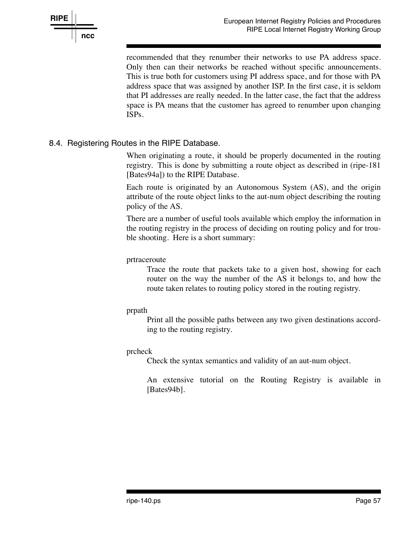

recommended that they renumber their networks to use PA address space. Only then can their networks be reached without specific announcements. This is true both for customers using PI address space, and for those with PA address space that was assigned by another ISP. In the first case, it is seldom that PI addresses are really needed. In the latter case, the fact that the address space is PA means that the customer has agreed to renumber upon changing ISPs.

## 8.4. Registering Routes in the RIPE Database.

When originating a route, it should be properly documented in the routing registry. This is done by submitting a route object as described in (ripe-181 [Bates94a]) to the RIPE Database.

Each route is originated by an Autonomous System (AS), and the origin attribute of the route object links to the aut-num object describing the routing policy of the AS.

There are a number of useful tools available which employ the information in the routing registry in the process of deciding on routing policy and for trouble shooting. Here is a short summary:

#### prtraceroute

Trace the route that packets take to a given host, showing for each router on the way the number of the AS it belongs to, and how the route taken relates to routing policy stored in the routing registry.

#### prpath

Print all the possible paths between any two given destinations according to the routing registry.

#### prcheck

Check the syntax semantics and validity of an aut-num object.

An extensive tutorial on the Routing Registry is available in [Bates94b].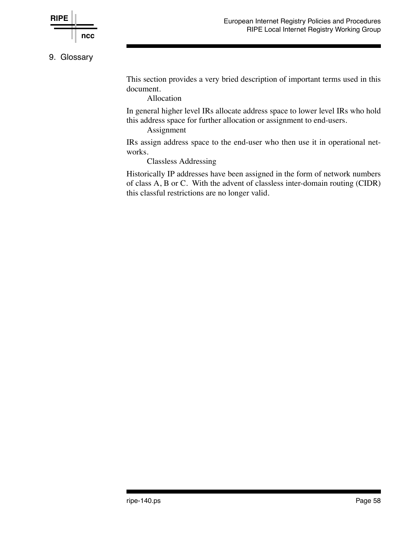

### 9. Glossary

This section provides a very bried description of important terms used in this document.

Allocation

In general higher level IRs allocate address space to lower level IRs who hold this address space for further allocation or assignment to end-users.

#### Assignment

IRs assign address space to the end-user who then use it in operational networks.

Classless Addressing

Historically IP addresses have been assigned in the form of network numbers of class A, B or C. With the advent of classless inter-domain routing (CIDR) this classful restrictions are no longer valid.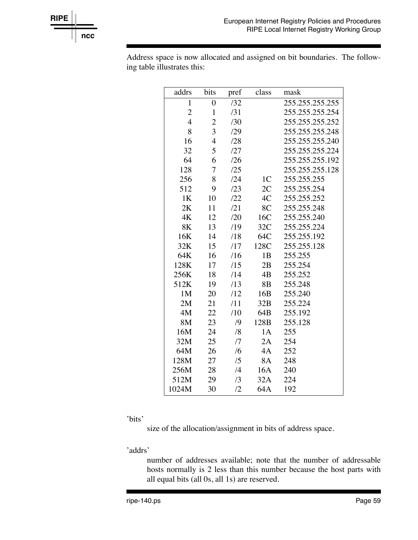

Address space is now allocated and assigned on bit boundaries. The following table illustrates this:

| addrs          | bits             | pref       | class          | mask            |
|----------------|------------------|------------|----------------|-----------------|
| $\mathbf{1}$   | $\boldsymbol{0}$ | 132        |                | 255.255.255.255 |
| $\overline{c}$ | $\mathbf{1}$     | /31        |                | 255.255.255.254 |
| $\overline{4}$ | $\overline{c}$   | /30        |                | 255.255.255.252 |
| 8              | $\overline{3}$   | /29        |                | 255.255.255.248 |
| 16             | 4                | /28        |                | 255.255.255.240 |
| 32             | 5                | /27        |                | 255.255.255.224 |
| 64             | 6                | /26        |                | 255.255.255.192 |
| 128            | 7                | /25        |                | 255.255.255.128 |
| 256            | 8                | /24        | 1 <sub>C</sub> | 255.255.255     |
| 512            | 9                | /23        | 2C             | 255.255.254     |
| 1K             | 10               | 122        | 4C             | 255.255.252     |
| 2K             | 11               | /21        | 8C             | 255.255.248     |
| 4K             | 12               | /20        | 16C            | 255.255.240     |
| 8K             | 13               | /19        | 32C            | 255.255.224     |
| 16K            | 14               | /18        | 64C            | 255.255.192     |
| 32K            | 15               | /17        | 128C           | 255.255.128     |
| 64K            | 16               | /16        | 1B             | 255.255         |
| 128K           | 17               | /15        | 2B             | 255.254         |
| 256K           | 18               | /14        | 4B             | 255.252         |
| 512K           | 19               | /13        | 8 <sub>B</sub> | 255.248         |
| 1M             | 20               | /12        | 16B            | 255.240         |
| 2M             | 21               | /11        | 32B            | 255.224         |
| 4M             | 22               | /10        | 64B            | 255.192         |
| 8M             | 23               | /9         | 128B           | 255.128         |
| 16M            | 24               | /8         | 1A             | 255             |
| 32M            | 25               | /7         | 2A             | 254             |
| 64M            | 26               | /6         | 4A             | 252             |
| 128M           | 27               | /5         | 8A             | 248             |
| 256M           | 28               | /4         | 16A            | 240             |
| 512M           | 29               | /3         | 32A            | 224             |
| 1024M          | 30               | $\sqrt{2}$ | 64A            | 192             |

'bits'

size of the allocation/assignment in bits of address space.

'addrs'

number of addresses available; note that the number of addressable hosts normally is 2 less than this number because the host parts with all equal bits (all 0s, all 1s) are reserved.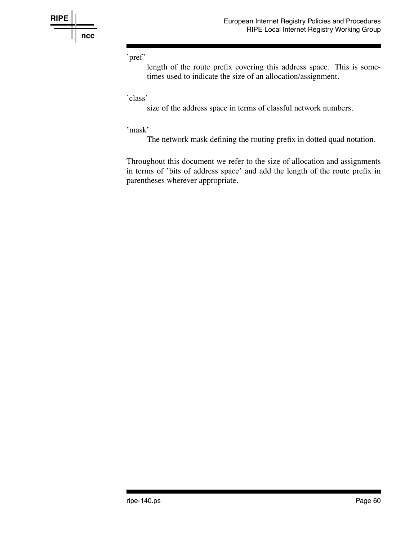

### 'pref'

length of the route prefix covering this address space. This is sometimes used to indicate the size of an allocation/assignment.

#### 'class'

size of the address space in terms of classful network numbers.

#### 'mask'

The network mask defining the routing prefix in dotted quad notation.

Throughout this document we refer to the size of allocation and assignments in terms of 'bits of address space' and add the length of the route prefix in parentheses wherever appropriate.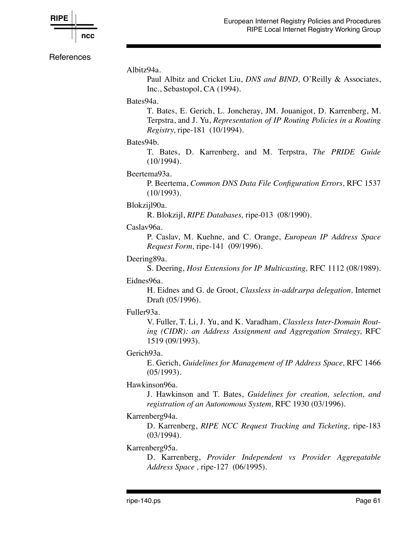

**References** 

Albitz94a.

Paul Albitz and Cricket Liu, *DNS and BIND,* O'Reilly & Associates, Inc., Sebastopol, CA (1994).

#### Bates94a.

T. Bates, E. Gerich, L. Joncheray, JM. Jouanigot, D. Karrenberg, M. Terpstra, and J. Yu, *Representation of IP Routing Policies in a Routing Registry,* ripe-181 (10/1994).

### Bates94b.

T. Bates, D. Karrenberg, and M. Terpstra, *The PRIDE Guide* (10/1994).

#### Beertema93a.

P. Beertema, *Common DNS Data File Configuration Errors,* RFC 1537 (10/1993).

#### Blokzijl90a.

R. Blokzijl, *RIPE Databases,* ripe-013 (08/1990).

#### Caslav96a.

P. Caslav, M. Kuehne, and C. Orange, *European IP Address Space Request Form,* ripe-141 (09/1996).

Deering89a.

S. Deering, *Host Extensions for IP Multicasting,* RFC 1112 (08/1989).

#### Eidnes96a.

H. Eidnes and G. de Groot, *Classless in-addr.arpa delegation,* Internet Draft (05/1996).

#### Fuller93a.

V. Fuller, T. Li, J. Yu, and K. Varadham, *Classless Inter-Domain Routing (CIDR): an Address Assignment and Aggregation Strategy,* RFC 1519 (09/1993).

#### Gerich93a.

E. Gerich, *Guidelines for Management of IP Address Space,* RFC 1466 (05/1993).

#### Hawkinson96a.

J. Hawkinson and T. Bates, *Guidelines for creation, selection, and registration of an Autonomous System,* RFC 1930 (03/1996).

#### Karrenberg94a.

D. Karrenberg, *RIPE NCC Request Tracking and Ticketing,* ripe-183 (03/1994).

#### Karrenberg95a.

D. Karrenberg, *Provider Independent vs Provider Aggregatable Address Space ,* ripe-127 (06/1995).